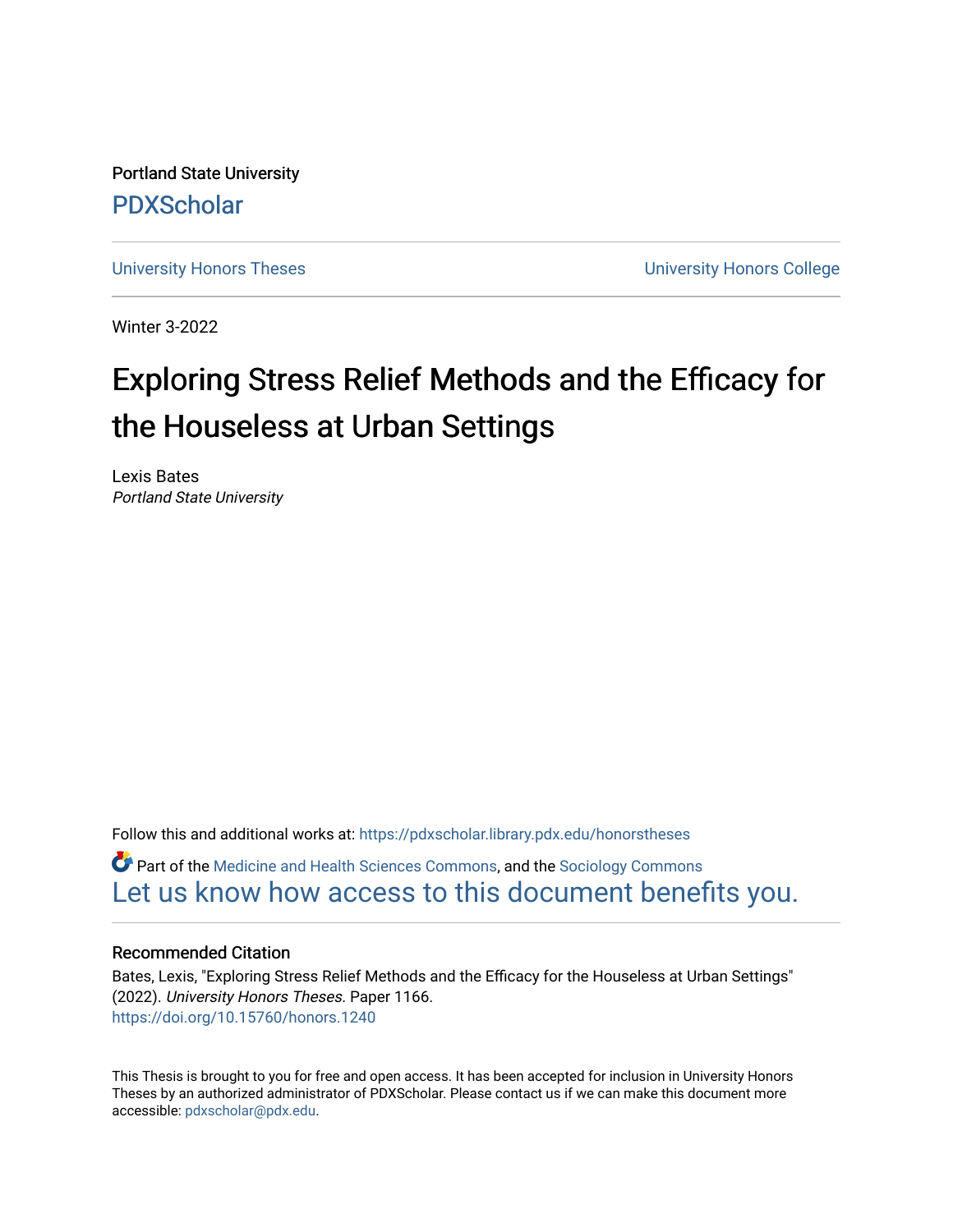Portland State University [PDXScholar](https://pdxscholar.library.pdx.edu/)

[University Honors Theses](https://pdxscholar.library.pdx.edu/honorstheses) [University Honors College](https://pdxscholar.library.pdx.edu/honors) 

Winter 3-2022

# Exploring Stress Relief Methods and the Efficacy for the Houseless at Urban Settings

Lexis Bates Portland State University

Follow this and additional works at: [https://pdxscholar.library.pdx.edu/honorstheses](https://pdxscholar.library.pdx.edu/honorstheses?utm_source=pdxscholar.library.pdx.edu%2Fhonorstheses%2F1166&utm_medium=PDF&utm_campaign=PDFCoverPages) 

**P** Part of the [Medicine and Health Sciences Commons,](https://network.bepress.com/hgg/discipline/648?utm_source=pdxscholar.library.pdx.edu%2Fhonorstheses%2F1166&utm_medium=PDF&utm_campaign=PDFCoverPages) and the Sociology Commons [Let us know how access to this document benefits you.](http://library.pdx.edu/services/pdxscholar-services/pdxscholar-feedback/) 

## Recommended Citation

Bates, Lexis, "Exploring Stress Relief Methods and the Efficacy for the Houseless at Urban Settings" (2022). University Honors Theses. Paper 1166. <https://doi.org/10.15760/honors.1240>

This Thesis is brought to you for free and open access. It has been accepted for inclusion in University Honors Theses by an authorized administrator of PDXScholar. Please contact us if we can make this document more accessible: [pdxscholar@pdx.edu.](mailto:pdxscholar@pdx.edu)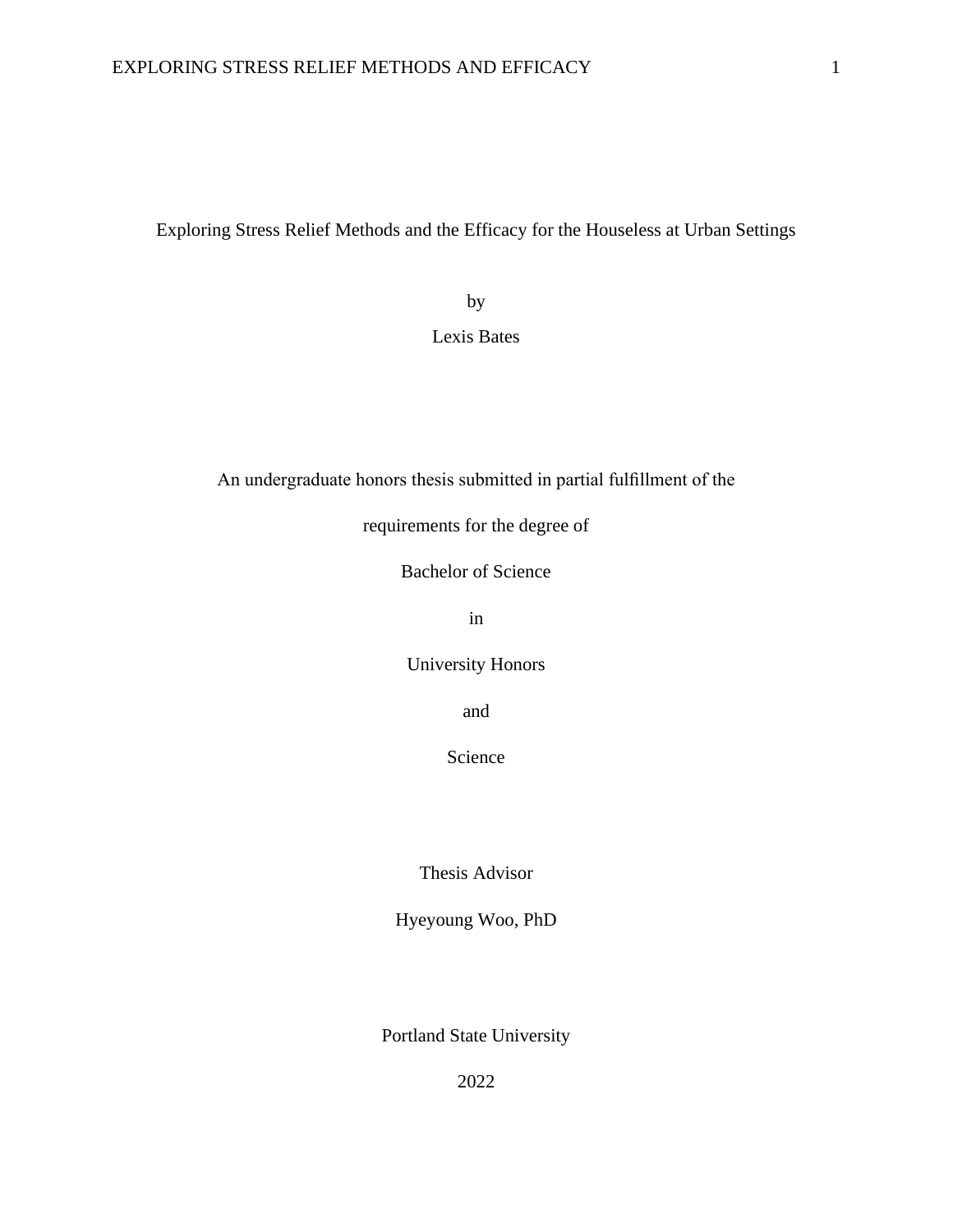Exploring Stress Relief Methods and the Efficacy for the Houseless at Urban Settings

by

Lexis Bates

An undergraduate honors thesis submitted in partial fulfillment of the

requirements for the degree of

Bachelor of Science

in

University Honors

and

Science

Thesis Advisor

Hyeyoung Woo, PhD

Portland State University

2022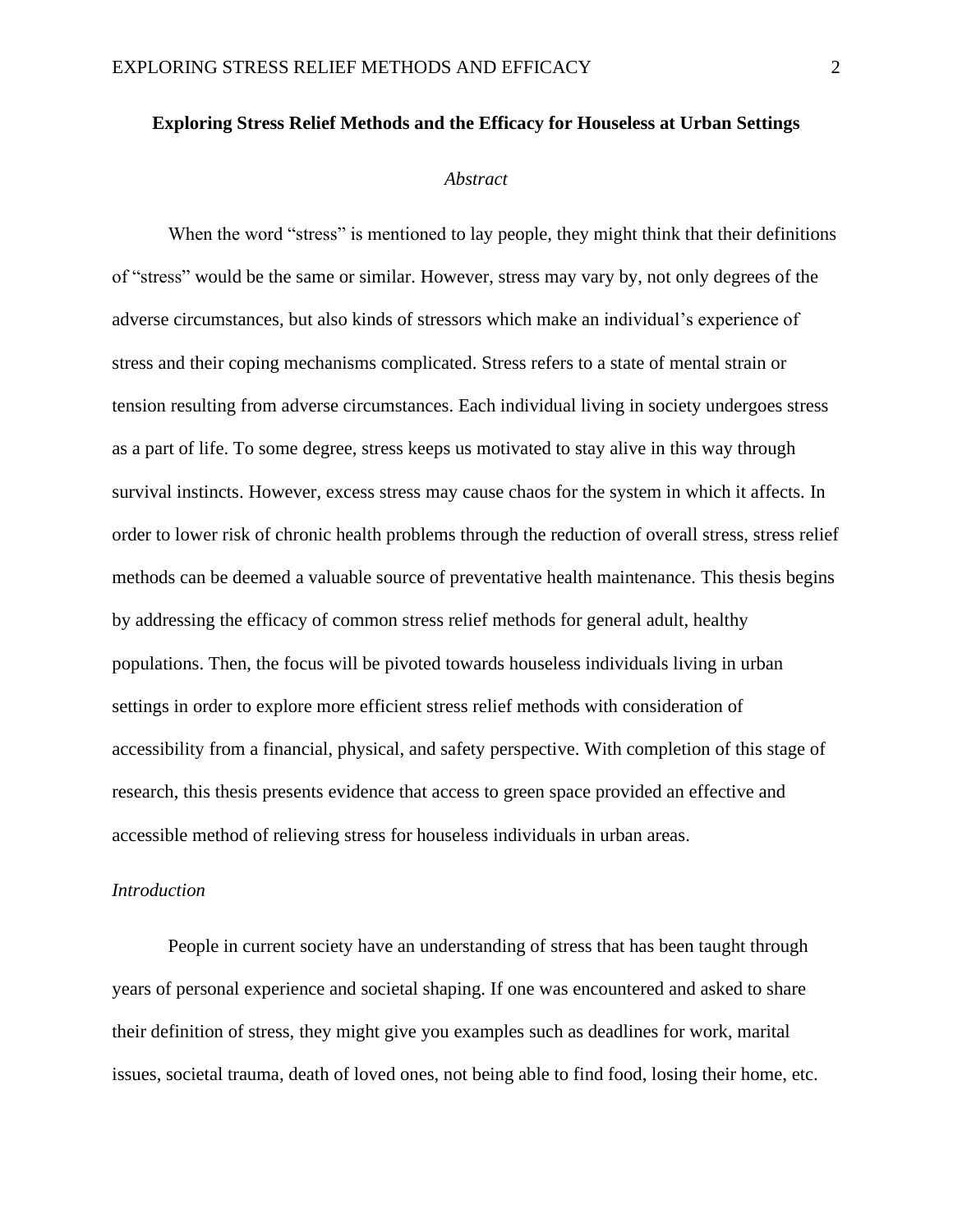#### **Exploring Stress Relief Methods and the Efficacy for Houseless at Urban Settings**

#### *Abstract*

When the word "stress" is mentioned to lay people, they might think that their definitions of "stress" would be the same or similar. However, stress may vary by, not only degrees of the adverse circumstances, but also kinds of stressors which make an individual's experience of stress and their coping mechanisms complicated. Stress refers to a state of mental strain or tension resulting from adverse circumstances. Each individual living in society undergoes stress as a part of life. To some degree, stress keeps us motivated to stay alive in this way through survival instincts. However, excess stress may cause chaos for the system in which it affects. In order to lower risk of chronic health problems through the reduction of overall stress, stress relief methods can be deemed a valuable source of preventative health maintenance. This thesis begins by addressing the efficacy of common stress relief methods for general adult, healthy populations. Then, the focus will be pivoted towards houseless individuals living in urban settings in order to explore more efficient stress relief methods with consideration of accessibility from a financial, physical, and safety perspective. With completion of this stage of research, this thesis presents evidence that access to green space provided an effective and accessible method of relieving stress for houseless individuals in urban areas.

#### *Introduction*

People in current society have an understanding of stress that has been taught through years of personal experience and societal shaping. If one was encountered and asked to share their definition of stress, they might give you examples such as deadlines for work, marital issues, societal trauma, death of loved ones, not being able to find food, losing their home, etc.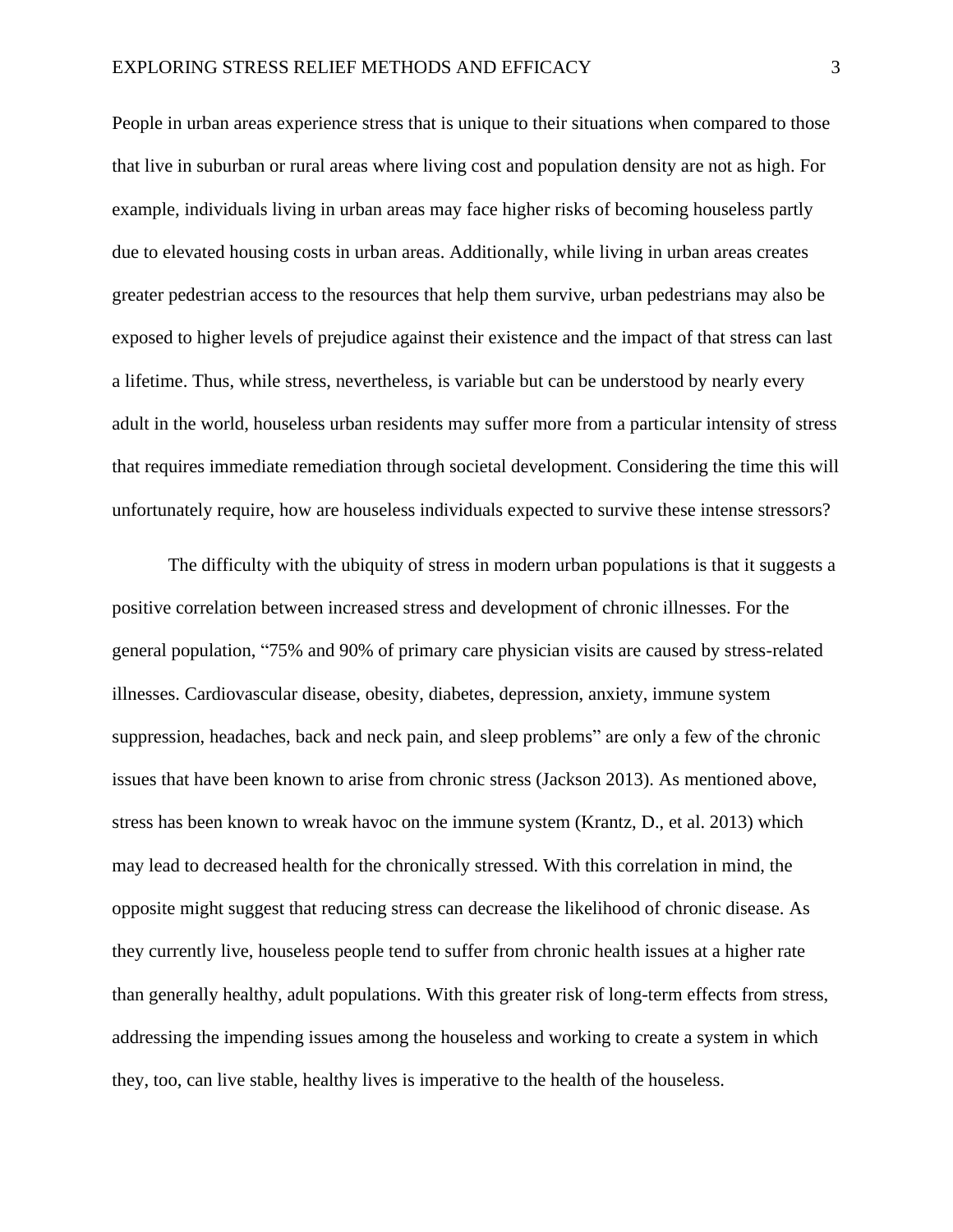People in urban areas experience stress that is unique to their situations when compared to those that live in suburban or rural areas where living cost and population density are not as high. For example, individuals living in urban areas may face higher risks of becoming houseless partly due to elevated housing costs in urban areas. Additionally, while living in urban areas creates greater pedestrian access to the resources that help them survive, urban pedestrians may also be exposed to higher levels of prejudice against their existence and the impact of that stress can last a lifetime. Thus, while stress, nevertheless, is variable but can be understood by nearly every adult in the world, houseless urban residents may suffer more from a particular intensity of stress that requires immediate remediation through societal development. Considering the time this will unfortunately require, how are houseless individuals expected to survive these intense stressors?

The difficulty with the ubiquity of stress in modern urban populations is that it suggests a positive correlation between increased stress and development of chronic illnesses. For the general population, "75% and 90% of primary care physician visits are caused by stress-related illnesses. Cardiovascular disease, obesity, diabetes, depression, anxiety, immune system suppression, headaches, back and neck pain, and sleep problems" are only a few of the chronic issues that have been known to arise from chronic stress (Jackson 2013). As mentioned above, stress has been known to wreak havoc on the immune system (Krantz, D., et al. 2013) which may lead to decreased health for the chronically stressed. With this correlation in mind, the opposite might suggest that reducing stress can decrease the likelihood of chronic disease. As they currently live, houseless people tend to suffer from chronic health issues at a higher rate than generally healthy, adult populations. With this greater risk of long-term effects from stress, addressing the impending issues among the houseless and working to create a system in which they, too, can live stable, healthy lives is imperative to the health of the houseless.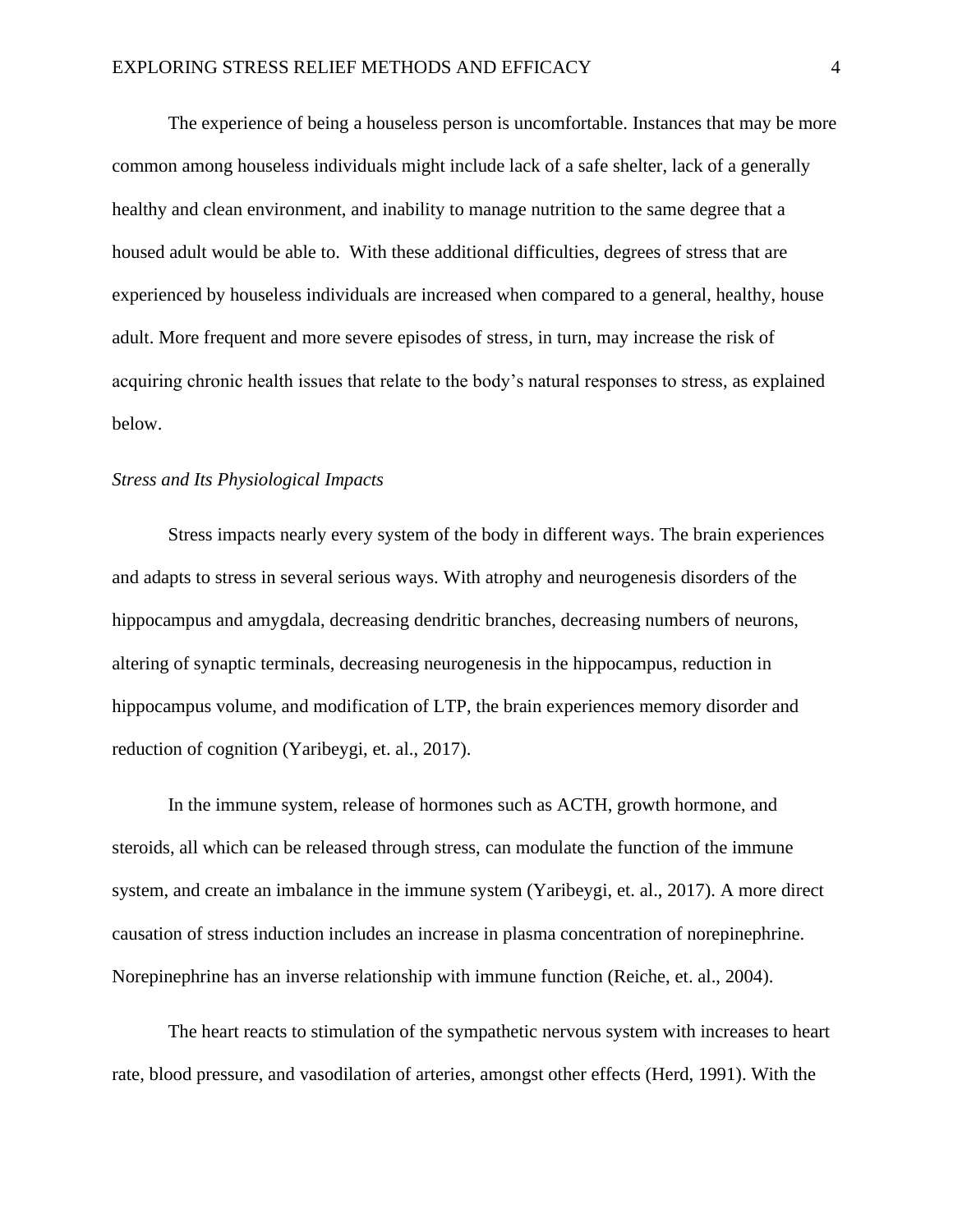The experience of being a houseless person is uncomfortable. Instances that may be more common among houseless individuals might include lack of a safe shelter, lack of a generally healthy and clean environment, and inability to manage nutrition to the same degree that a housed adult would be able to. With these additional difficulties, degrees of stress that are experienced by houseless individuals are increased when compared to a general, healthy, house adult. More frequent and more severe episodes of stress, in turn, may increase the risk of acquiring chronic health issues that relate to the body's natural responses to stress, as explained below.

# *Stress and Its Physiological Impacts*

Stress impacts nearly every system of the body in different ways. The brain experiences and adapts to stress in several serious ways. With atrophy and neurogenesis disorders of the hippocampus and amygdala, decreasing dendritic branches, decreasing numbers of neurons, altering of synaptic terminals, decreasing neurogenesis in the hippocampus, reduction in hippocampus volume, and modification of LTP, the brain experiences memory disorder and reduction of cognition (Yaribeygi, et. al., 2017).

In the immune system, release of hormones such as ACTH, growth hormone, and steroids, all which can be released through stress, can modulate the function of the immune system, and create an imbalance in the immune system (Yaribeygi, et. al., 2017). A more direct causation of stress induction includes an increase in plasma concentration of norepinephrine. Norepinephrine has an inverse relationship with immune function (Reiche, et. al., 2004).

The heart reacts to stimulation of the sympathetic nervous system with increases to heart rate, blood pressure, and vasodilation of arteries, amongst other effects (Herd, 1991). With the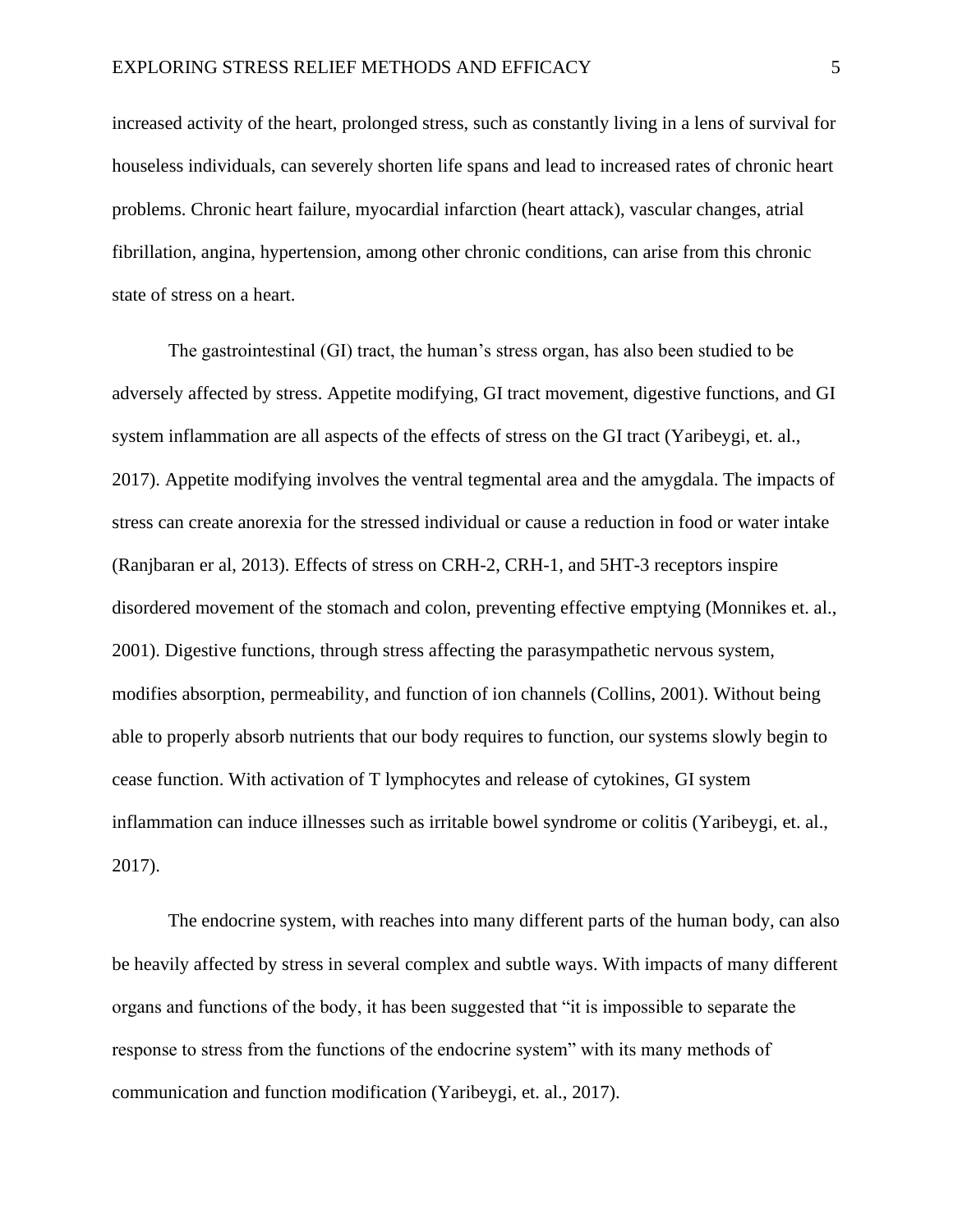increased activity of the heart, prolonged stress, such as constantly living in a lens of survival for houseless individuals, can severely shorten life spans and lead to increased rates of chronic heart problems. Chronic heart failure, myocardial infarction (heart attack), vascular changes, atrial fibrillation, angina, hypertension, among other chronic conditions, can arise from this chronic state of stress on a heart.

The gastrointestinal (GI) tract, the human's stress organ, has also been studied to be adversely affected by stress. Appetite modifying, GI tract movement, digestive functions, and GI system inflammation are all aspects of the effects of stress on the GI tract (Yaribeygi, et. al., 2017). Appetite modifying involves the ventral tegmental area and the amygdala. The impacts of stress can create anorexia for the stressed individual or cause a reduction in food or water intake (Ranjbaran er al, 2013). Effects of stress on CRH-2, CRH-1, and 5HT-3 receptors inspire disordered movement of the stomach and colon, preventing effective emptying (Monnikes et. al., 2001). Digestive functions, through stress affecting the parasympathetic nervous system, modifies absorption, permeability, and function of ion channels (Collins, 2001). Without being able to properly absorb nutrients that our body requires to function, our systems slowly begin to cease function. With activation of T lymphocytes and release of cytokines, GI system inflammation can induce illnesses such as irritable bowel syndrome or colitis (Yaribeygi, et. al., 2017).

The endocrine system, with reaches into many different parts of the human body, can also be heavily affected by stress in several complex and subtle ways. With impacts of many different organs and functions of the body, it has been suggested that "it is impossible to separate the response to stress from the functions of the endocrine system" with its many methods of communication and function modification (Yaribeygi, et. al., 2017).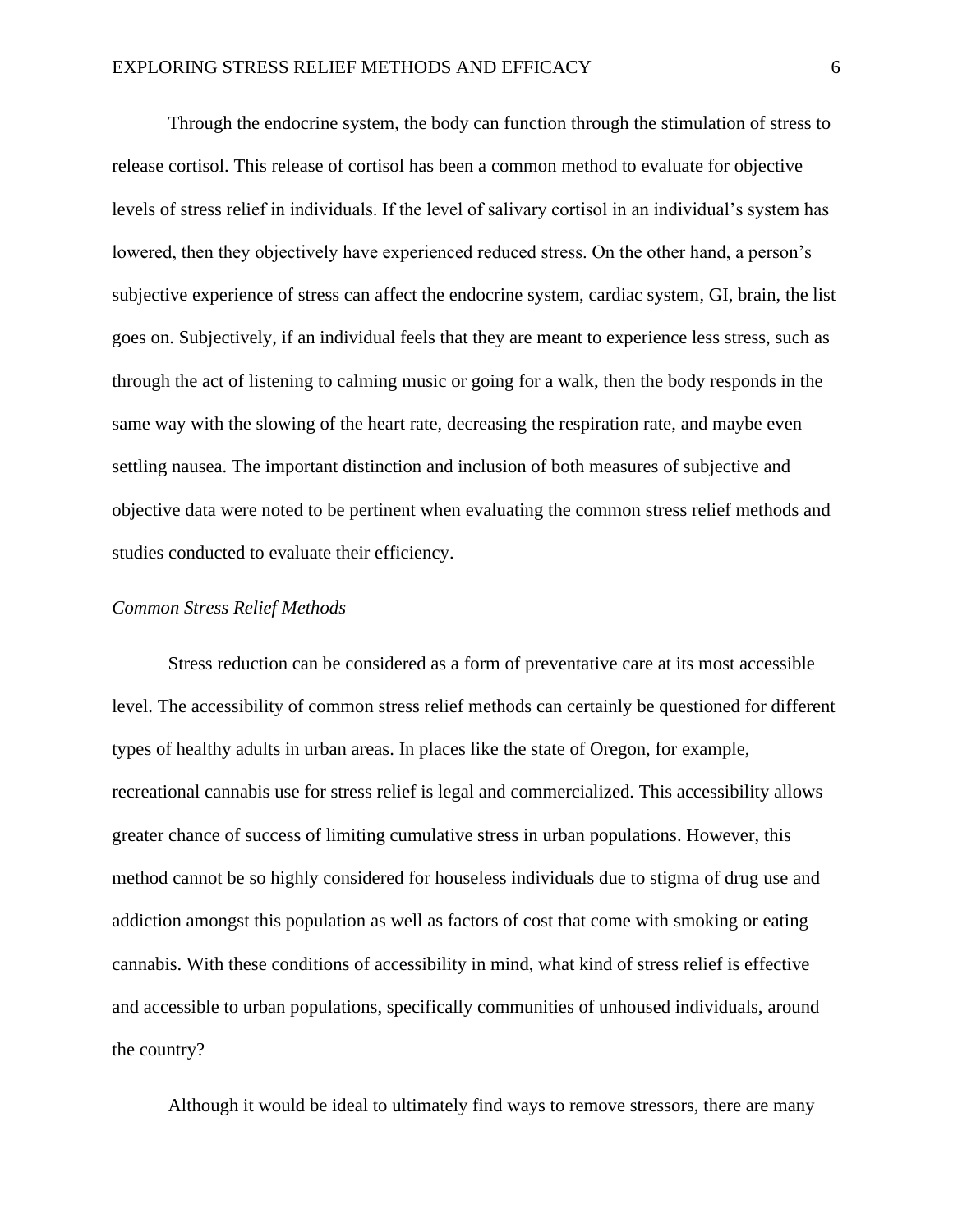Through the endocrine system, the body can function through the stimulation of stress to release cortisol. This release of cortisol has been a common method to evaluate for objective levels of stress relief in individuals. If the level of salivary cortisol in an individual's system has lowered, then they objectively have experienced reduced stress. On the other hand, a person's subjective experience of stress can affect the endocrine system, cardiac system, GI, brain, the list goes on. Subjectively, if an individual feels that they are meant to experience less stress, such as through the act of listening to calming music or going for a walk, then the body responds in the same way with the slowing of the heart rate, decreasing the respiration rate, and maybe even settling nausea. The important distinction and inclusion of both measures of subjective and objective data were noted to be pertinent when evaluating the common stress relief methods and studies conducted to evaluate their efficiency.

## *Common Stress Relief Methods*

Stress reduction can be considered as a form of preventative care at its most accessible level. The accessibility of common stress relief methods can certainly be questioned for different types of healthy adults in urban areas. In places like the state of Oregon, for example, recreational cannabis use for stress relief is legal and commercialized. This accessibility allows greater chance of success of limiting cumulative stress in urban populations. However, this method cannot be so highly considered for houseless individuals due to stigma of drug use and addiction amongst this population as well as factors of cost that come with smoking or eating cannabis. With these conditions of accessibility in mind, what kind of stress relief is effective and accessible to urban populations, specifically communities of unhoused individuals, around the country?

Although it would be ideal to ultimately find ways to remove stressors, there are many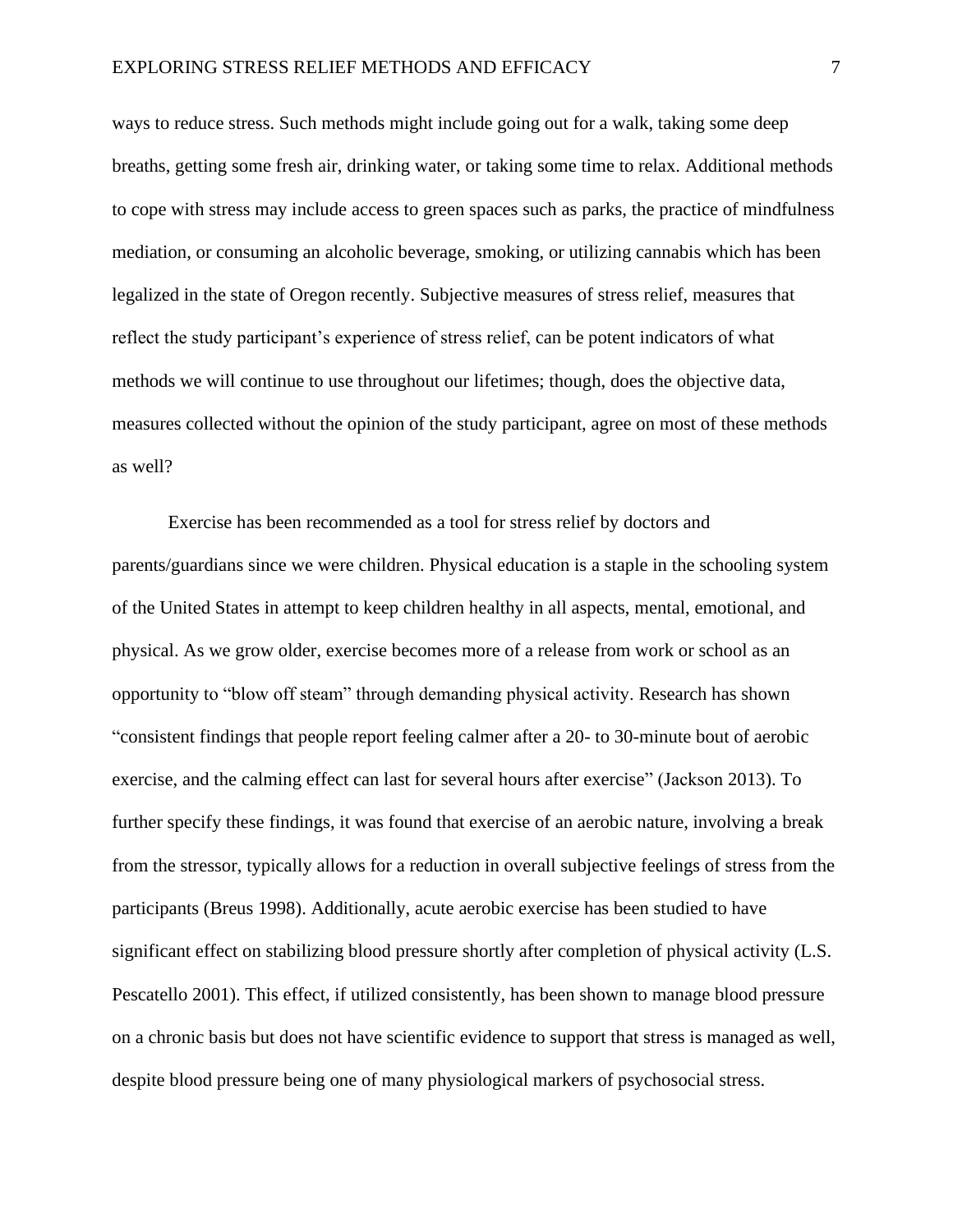ways to reduce stress. Such methods might include going out for a walk, taking some deep breaths, getting some fresh air, drinking water, or taking some time to relax. Additional methods to cope with stress may include access to green spaces such as parks, the practice of mindfulness mediation, or consuming an alcoholic beverage, smoking, or utilizing cannabis which has been legalized in the state of Oregon recently. Subjective measures of stress relief, measures that reflect the study participant's experience of stress relief, can be potent indicators of what methods we will continue to use throughout our lifetimes; though, does the objective data, measures collected without the opinion of the study participant, agree on most of these methods as well?

Exercise has been recommended as a tool for stress relief by doctors and parents/guardians since we were children. Physical education is a staple in the schooling system of the United States in attempt to keep children healthy in all aspects, mental, emotional, and physical. As we grow older, exercise becomes more of a release from work or school as an opportunity to "blow off steam" through demanding physical activity. Research has shown "consistent findings that people report feeling calmer after a 20- to 30-minute bout of aerobic exercise, and the calming effect can last for several hours after exercise" (Jackson 2013). To further specify these findings, it was found that exercise of an aerobic nature, involving a break from the stressor, typically allows for a reduction in overall subjective feelings of stress from the participants (Breus 1998). Additionally, acute aerobic exercise has been studied to have significant effect on stabilizing blood pressure shortly after completion of physical activity (L.S. Pescatello 2001). This effect, if utilized consistently, has been shown to manage blood pressure on a chronic basis but does not have scientific evidence to support that stress is managed as well, despite blood pressure being one of many physiological markers of psychosocial stress.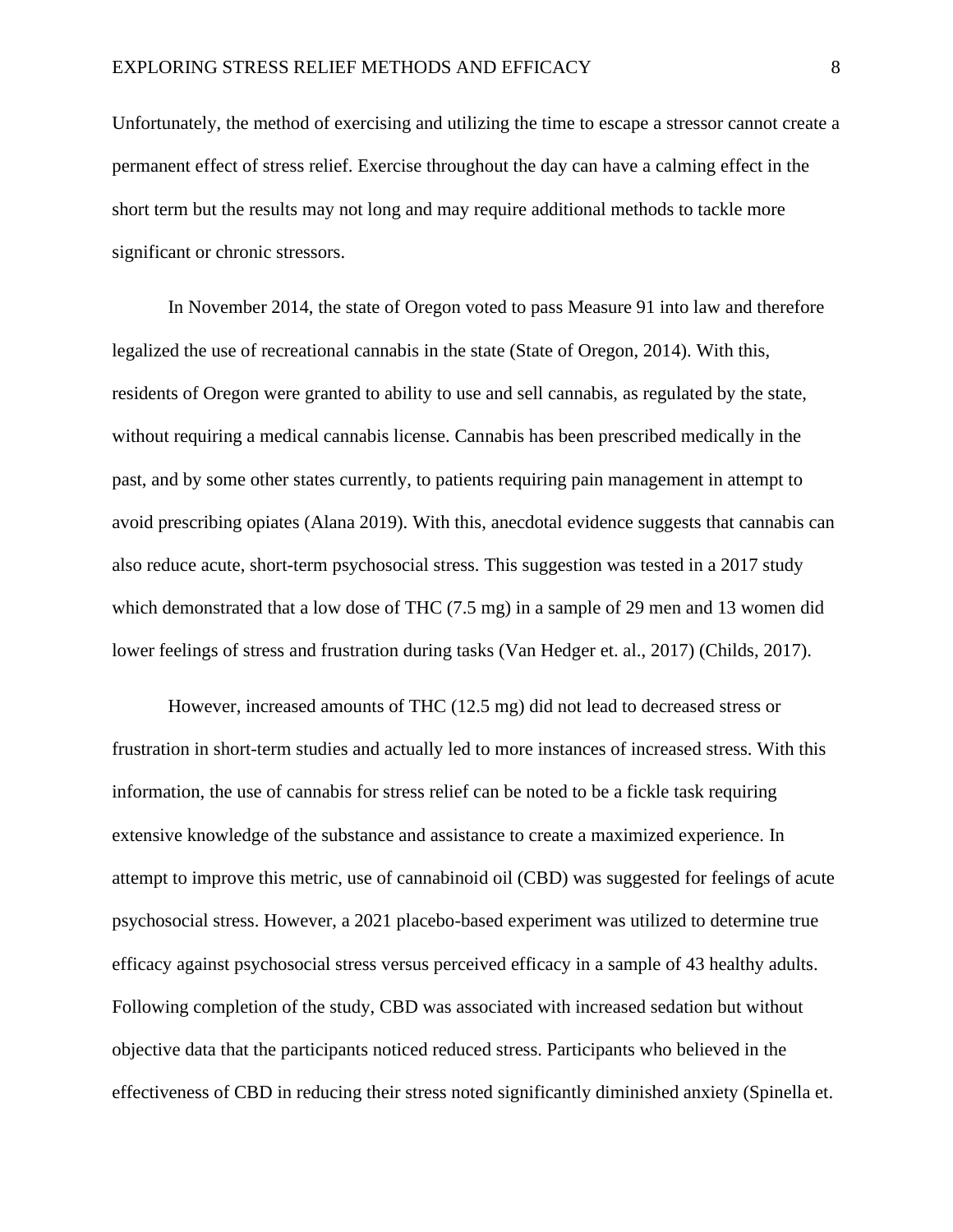Unfortunately, the method of exercising and utilizing the time to escape a stressor cannot create a permanent effect of stress relief. Exercise throughout the day can have a calming effect in the short term but the results may not long and may require additional methods to tackle more significant or chronic stressors.

In November 2014, the state of Oregon voted to pass Measure 91 into law and therefore legalized the use of recreational cannabis in the state (State of Oregon, 2014). With this, residents of Oregon were granted to ability to use and sell cannabis, as regulated by the state, without requiring a medical cannabis license. Cannabis has been prescribed medically in the past, and by some other states currently, to patients requiring pain management in attempt to avoid prescribing opiates (Alana 2019). With this, anecdotal evidence suggests that cannabis can also reduce acute, short-term psychosocial stress. This suggestion was tested in a 2017 study which demonstrated that a low dose of THC (7.5 mg) in a sample of 29 men and 13 women did lower feelings of stress and frustration during tasks (Van Hedger et. al., 2017) (Childs, 2017).

However, increased amounts of THC (12.5 mg) did not lead to decreased stress or frustration in short-term studies and actually led to more instances of increased stress. With this information, the use of cannabis for stress relief can be noted to be a fickle task requiring extensive knowledge of the substance and assistance to create a maximized experience. In attempt to improve this metric, use of cannabinoid oil (CBD) was suggested for feelings of acute psychosocial stress. However, a 2021 placebo-based experiment was utilized to determine true efficacy against psychosocial stress versus perceived efficacy in a sample of 43 healthy adults. Following completion of the study, CBD was associated with increased sedation but without objective data that the participants noticed reduced stress. Participants who believed in the effectiveness of CBD in reducing their stress noted significantly diminished anxiety (Spinella et.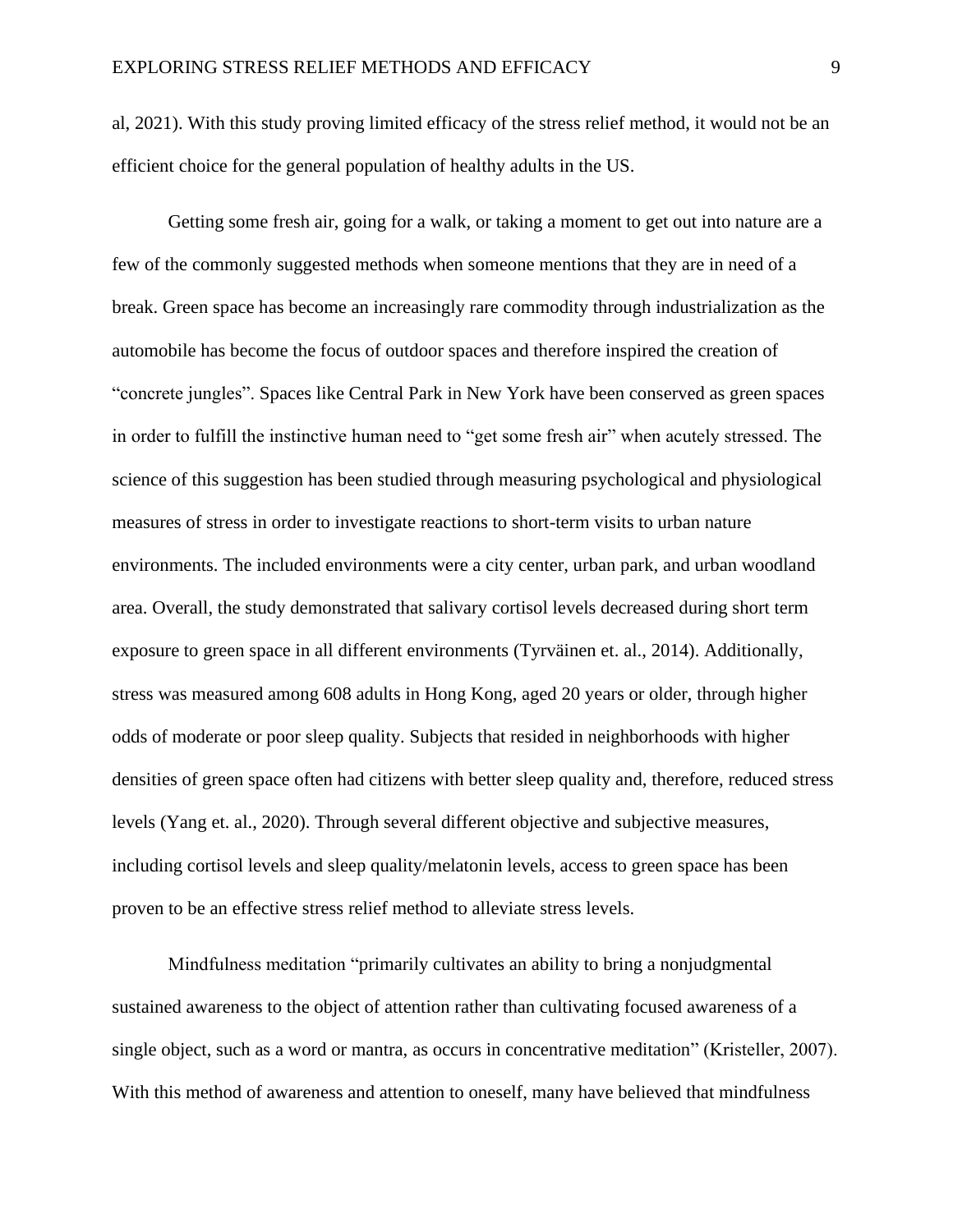al, 2021). With this study proving limited efficacy of the stress relief method, it would not be an efficient choice for the general population of healthy adults in the US.

Getting some fresh air, going for a walk, or taking a moment to get out into nature are a few of the commonly suggested methods when someone mentions that they are in need of a break. Green space has become an increasingly rare commodity through industrialization as the automobile has become the focus of outdoor spaces and therefore inspired the creation of "concrete jungles". Spaces like Central Park in New York have been conserved as green spaces in order to fulfill the instinctive human need to "get some fresh air" when acutely stressed. The science of this suggestion has been studied through measuring psychological and physiological measures of stress in order to investigate reactions to short-term visits to urban nature environments. The included environments were a city center, urban park, and urban woodland area. Overall, the study demonstrated that salivary cortisol levels decreased during short term exposure to green space in all different environments (Tyrväinen et. al., 2014). Additionally, stress was measured among 608 adults in Hong Kong, aged 20 years or older, through higher odds of moderate or poor sleep quality. Subjects that resided in neighborhoods with higher densities of green space often had citizens with better sleep quality and, therefore, reduced stress levels (Yang et. al., 2020). Through several different objective and subjective measures, including cortisol levels and sleep quality/melatonin levels, access to green space has been proven to be an effective stress relief method to alleviate stress levels.

Mindfulness meditation "primarily cultivates an ability to bring a nonjudgmental sustained awareness to the object of attention rather than cultivating focused awareness of a single object, such as a word or mantra, as occurs in concentrative meditation" (Kristeller, 2007). With this method of awareness and attention to oneself, many have believed that mindfulness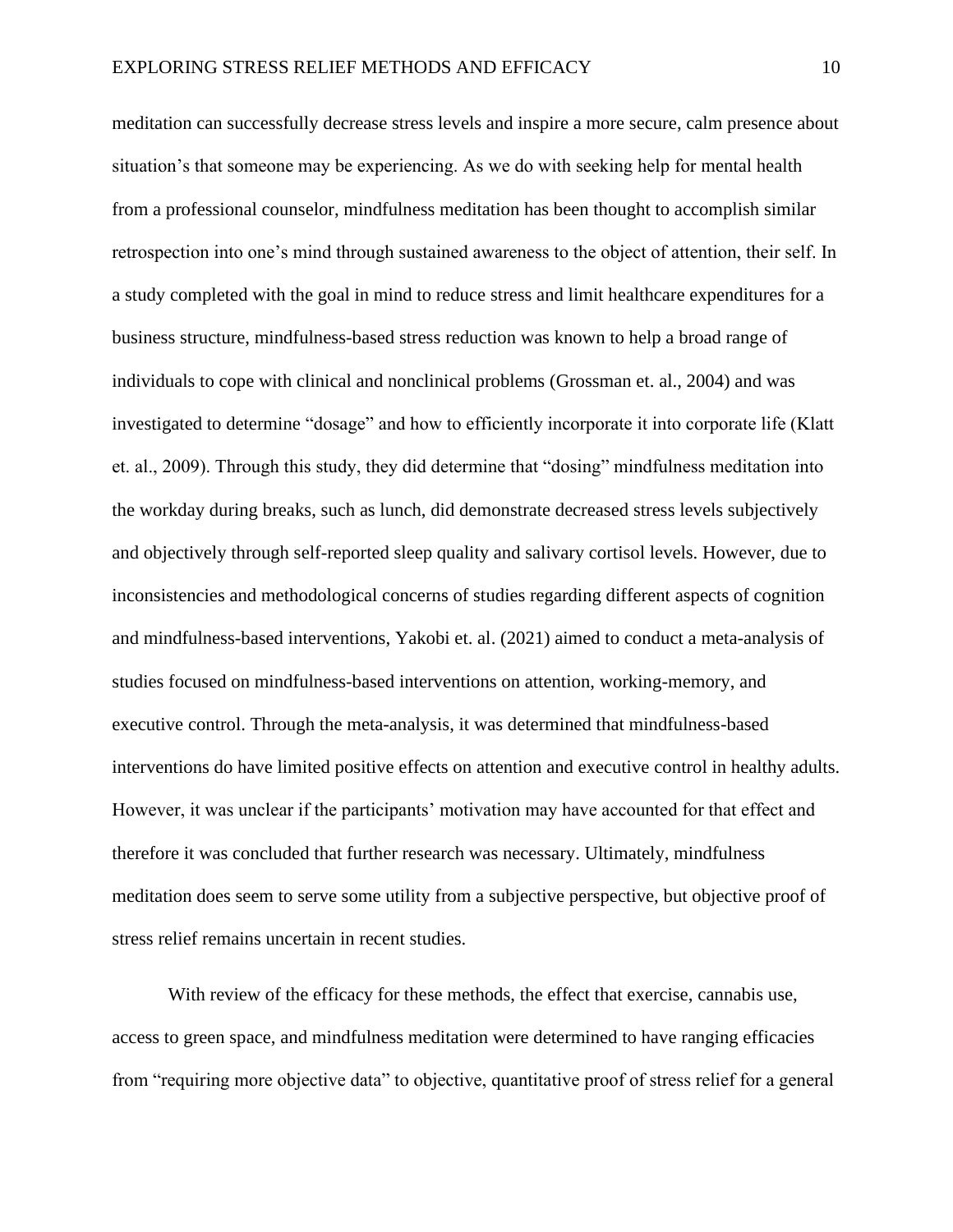meditation can successfully decrease stress levels and inspire a more secure, calm presence about situation's that someone may be experiencing. As we do with seeking help for mental health from a professional counselor, mindfulness meditation has been thought to accomplish similar retrospection into one's mind through sustained awareness to the object of attention, their self. In a study completed with the goal in mind to reduce stress and limit healthcare expenditures for a business structure, mindfulness-based stress reduction was known to help a broad range of individuals to cope with clinical and nonclinical problems (Grossman et. al., 2004) and was investigated to determine "dosage" and how to efficiently incorporate it into corporate life (Klatt et. al., 2009). Through this study, they did determine that "dosing" mindfulness meditation into the workday during breaks, such as lunch, did demonstrate decreased stress levels subjectively and objectively through self-reported sleep quality and salivary cortisol levels. However, due to inconsistencies and methodological concerns of studies regarding different aspects of cognition and mindfulness-based interventions, Yakobi et. al. (2021) aimed to conduct a meta-analysis of studies focused on mindfulness-based interventions on attention, working-memory, and executive control. Through the meta-analysis, it was determined that mindfulness-based interventions do have limited positive effects on attention and executive control in healthy adults. However, it was unclear if the participants' motivation may have accounted for that effect and therefore it was concluded that further research was necessary. Ultimately, mindfulness meditation does seem to serve some utility from a subjective perspective, but objective proof of stress relief remains uncertain in recent studies.

With review of the efficacy for these methods, the effect that exercise, cannabis use, access to green space, and mindfulness meditation were determined to have ranging efficacies from "requiring more objective data" to objective, quantitative proof of stress relief for a general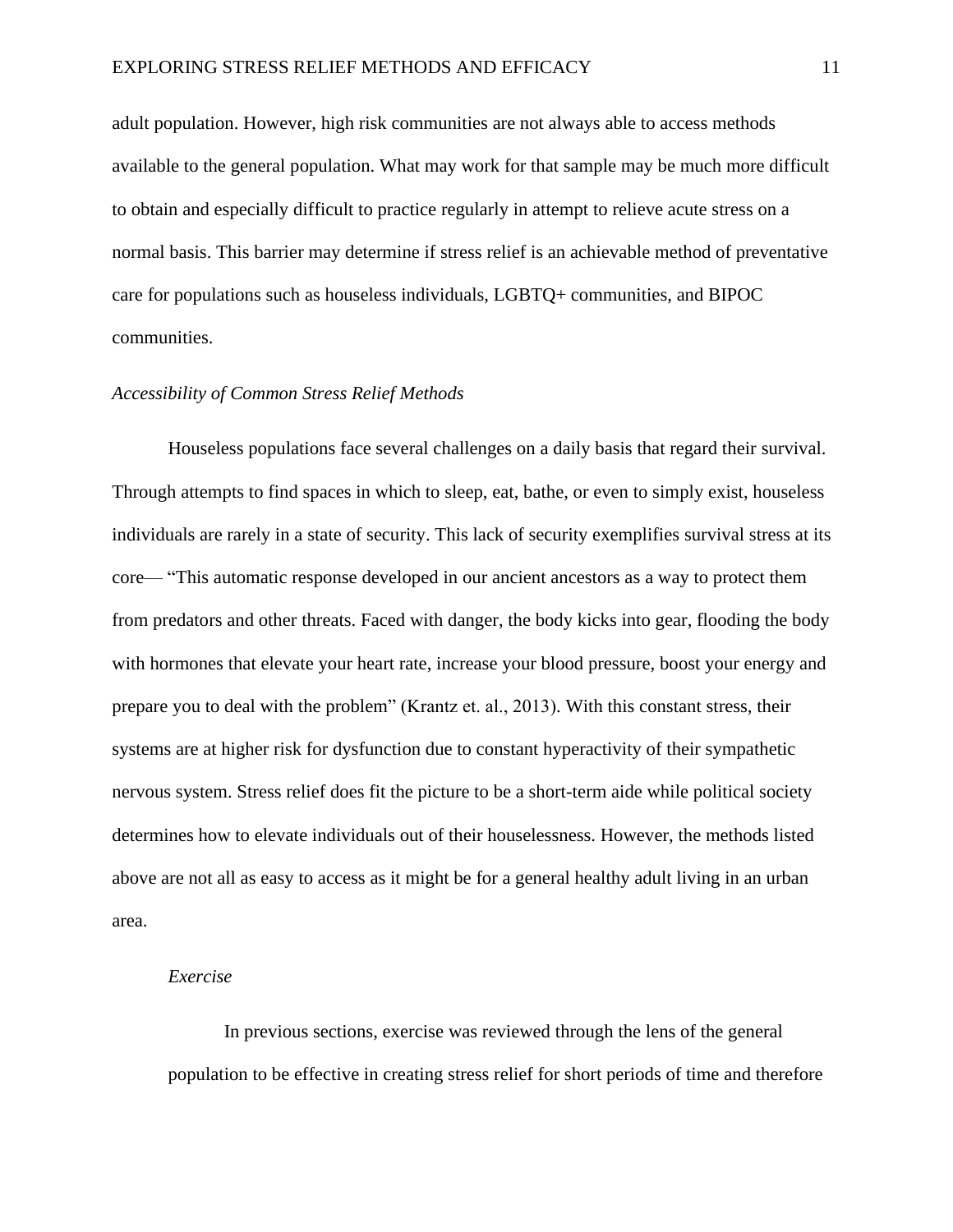adult population. However, high risk communities are not always able to access methods available to the general population. What may work for that sample may be much more difficult to obtain and especially difficult to practice regularly in attempt to relieve acute stress on a normal basis. This barrier may determine if stress relief is an achievable method of preventative care for populations such as houseless individuals, LGBTQ+ communities, and BIPOC communities.

# *Accessibility of Common Stress Relief Methods*

Houseless populations face several challenges on a daily basis that regard their survival. Through attempts to find spaces in which to sleep, eat, bathe, or even to simply exist, houseless individuals are rarely in a state of security. This lack of security exemplifies survival stress at its core— "This automatic response developed in our ancient ancestors as a way to protect them from predators and other threats. Faced with danger, the body kicks into gear, flooding the body with hormones that elevate your heart rate, increase your blood pressure, boost your energy and prepare you to deal with the problem" (Krantz et. al., 2013). With this constant stress, their systems are at higher risk for dysfunction due to constant hyperactivity of their sympathetic nervous system. Stress relief does fit the picture to be a short-term aide while political society determines how to elevate individuals out of their houselessness. However, the methods listed above are not all as easy to access as it might be for a general healthy adult living in an urban area.

### *Exercise*

In previous sections, exercise was reviewed through the lens of the general population to be effective in creating stress relief for short periods of time and therefore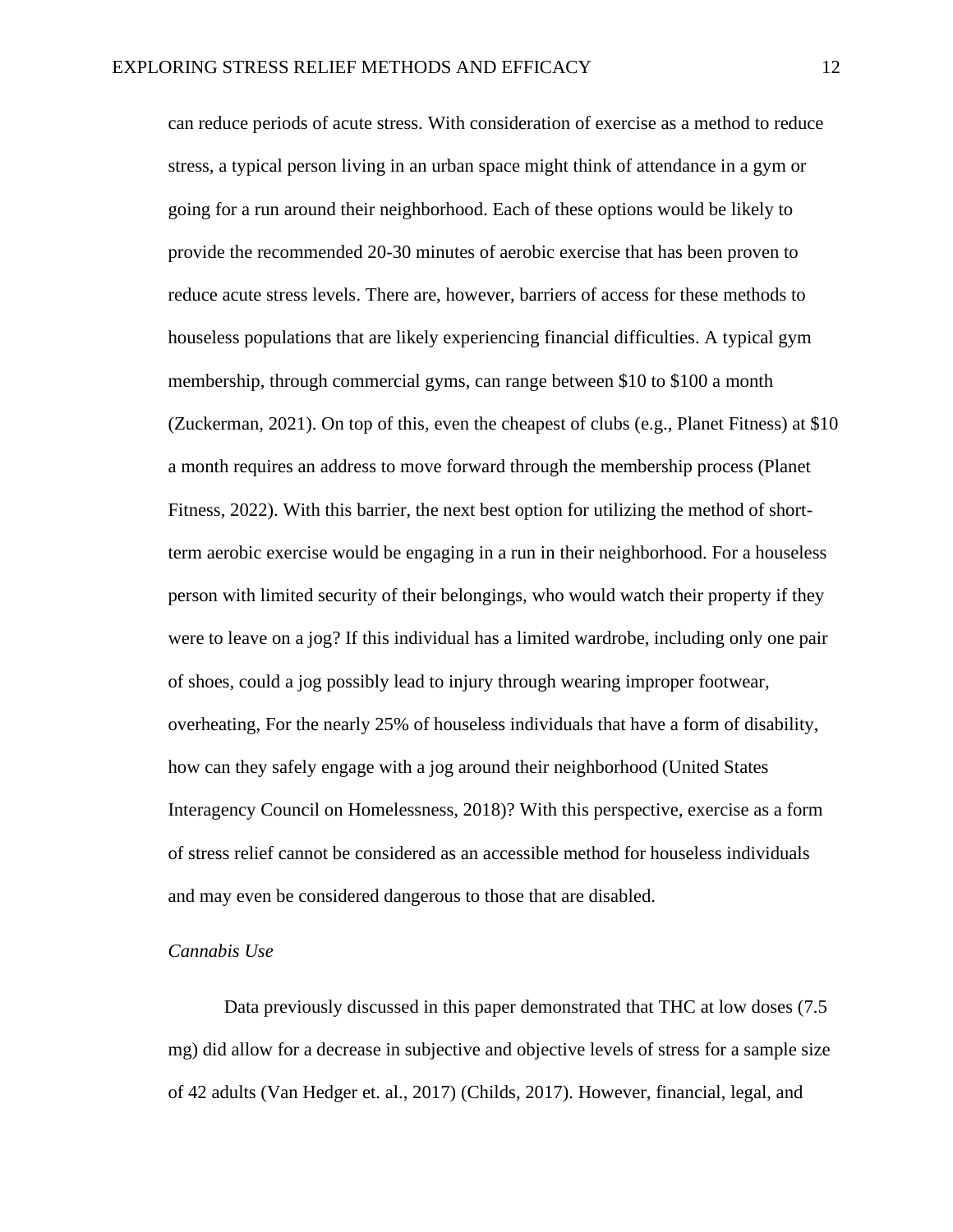can reduce periods of acute stress. With consideration of exercise as a method to reduce stress, a typical person living in an urban space might think of attendance in a gym or going for a run around their neighborhood. Each of these options would be likely to provide the recommended 20-30 minutes of aerobic exercise that has been proven to reduce acute stress levels. There are, however, barriers of access for these methods to houseless populations that are likely experiencing financial difficulties. A typical gym membership, through commercial gyms, can range between \$10 to \$100 a month (Zuckerman, 2021). On top of this, even the cheapest of clubs (e.g., Planet Fitness) at \$10 a month requires an address to move forward through the membership process (Planet Fitness, 2022). With this barrier, the next best option for utilizing the method of shortterm aerobic exercise would be engaging in a run in their neighborhood. For a houseless person with limited security of their belongings, who would watch their property if they were to leave on a jog? If this individual has a limited wardrobe, including only one pair of shoes, could a jog possibly lead to injury through wearing improper footwear, overheating, For the nearly 25% of houseless individuals that have a form of disability, how can they safely engage with a jog around their neighborhood (United States Interagency Council on Homelessness, 2018)? With this perspective, exercise as a form of stress relief cannot be considered as an accessible method for houseless individuals and may even be considered dangerous to those that are disabled.

### *Cannabis Use*

Data previously discussed in this paper demonstrated that THC at low doses (7.5 mg) did allow for a decrease in subjective and objective levels of stress for a sample size of 42 adults (Van Hedger et. al., 2017) (Childs, 2017). However, financial, legal, and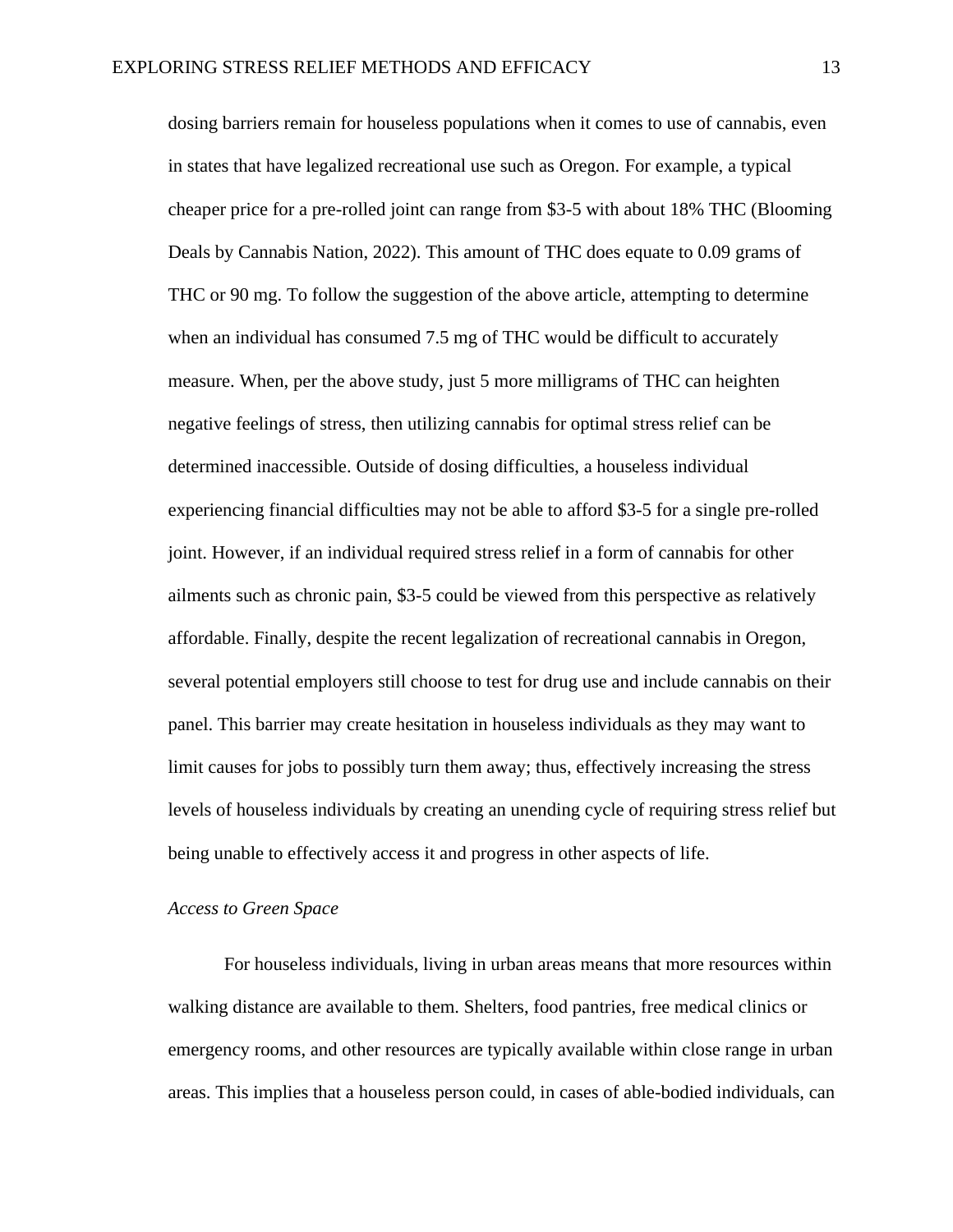dosing barriers remain for houseless populations when it comes to use of cannabis, even in states that have legalized recreational use such as Oregon. For example, a typical cheaper price for a pre-rolled joint can range from \$3-5 with about 18% THC (Blooming Deals by Cannabis Nation, 2022). This amount of THC does equate to 0.09 grams of THC or 90 mg. To follow the suggestion of the above article, attempting to determine when an individual has consumed 7.5 mg of THC would be difficult to accurately measure. When, per the above study, just 5 more milligrams of THC can heighten negative feelings of stress, then utilizing cannabis for optimal stress relief can be determined inaccessible. Outside of dosing difficulties, a houseless individual experiencing financial difficulties may not be able to afford \$3-5 for a single pre-rolled joint. However, if an individual required stress relief in a form of cannabis for other ailments such as chronic pain, \$3-5 could be viewed from this perspective as relatively affordable. Finally, despite the recent legalization of recreational cannabis in Oregon, several potential employers still choose to test for drug use and include cannabis on their panel. This barrier may create hesitation in houseless individuals as they may want to limit causes for jobs to possibly turn them away; thus, effectively increasing the stress levels of houseless individuals by creating an unending cycle of requiring stress relief but being unable to effectively access it and progress in other aspects of life.

## *Access to Green Space*

For houseless individuals, living in urban areas means that more resources within walking distance are available to them. Shelters, food pantries, free medical clinics or emergency rooms, and other resources are typically available within close range in urban areas. This implies that a houseless person could, in cases of able-bodied individuals, can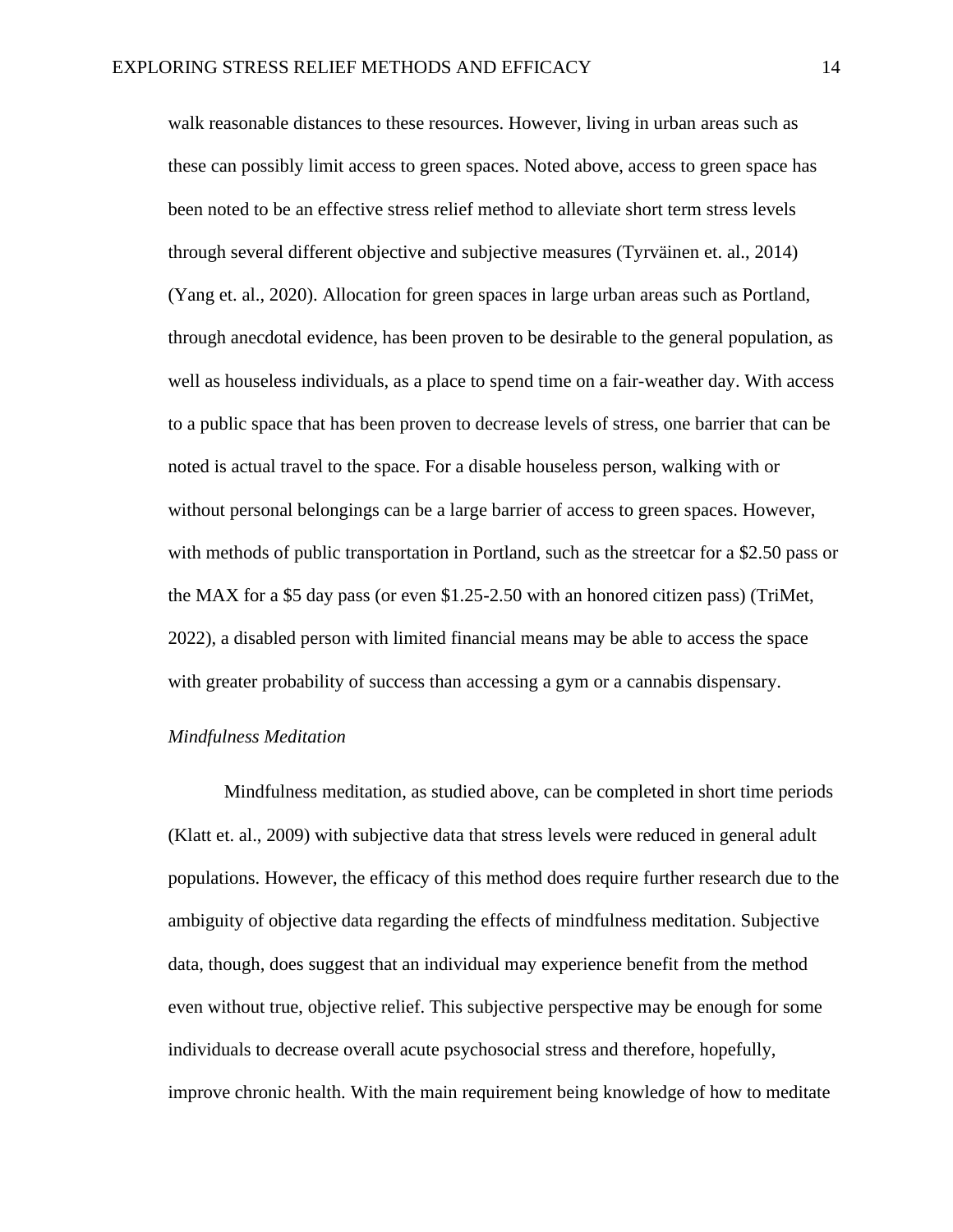walk reasonable distances to these resources. However, living in urban areas such as these can possibly limit access to green spaces. Noted above, access to green space has been noted to be an effective stress relief method to alleviate short term stress levels through several different objective and subjective measures (Tyrväinen et. al., 2014) (Yang et. al., 2020). Allocation for green spaces in large urban areas such as Portland, through anecdotal evidence, has been proven to be desirable to the general population, as well as houseless individuals, as a place to spend time on a fair-weather day. With access to a public space that has been proven to decrease levels of stress, one barrier that can be noted is actual travel to the space. For a disable houseless person, walking with or without personal belongings can be a large barrier of access to green spaces. However, with methods of public transportation in Portland, such as the streetcar for a \$2.50 pass or the MAX for a \$5 day pass (or even \$1.25-2.50 with an honored citizen pass) (TriMet, 2022), a disabled person with limited financial means may be able to access the space with greater probability of success than accessing a gym or a cannabis dispensary.

#### *Mindfulness Meditation*

Mindfulness meditation, as studied above, can be completed in short time periods (Klatt et. al., 2009) with subjective data that stress levels were reduced in general adult populations. However, the efficacy of this method does require further research due to the ambiguity of objective data regarding the effects of mindfulness meditation. Subjective data, though, does suggest that an individual may experience benefit from the method even without true, objective relief. This subjective perspective may be enough for some individuals to decrease overall acute psychosocial stress and therefore, hopefully, improve chronic health. With the main requirement being knowledge of how to meditate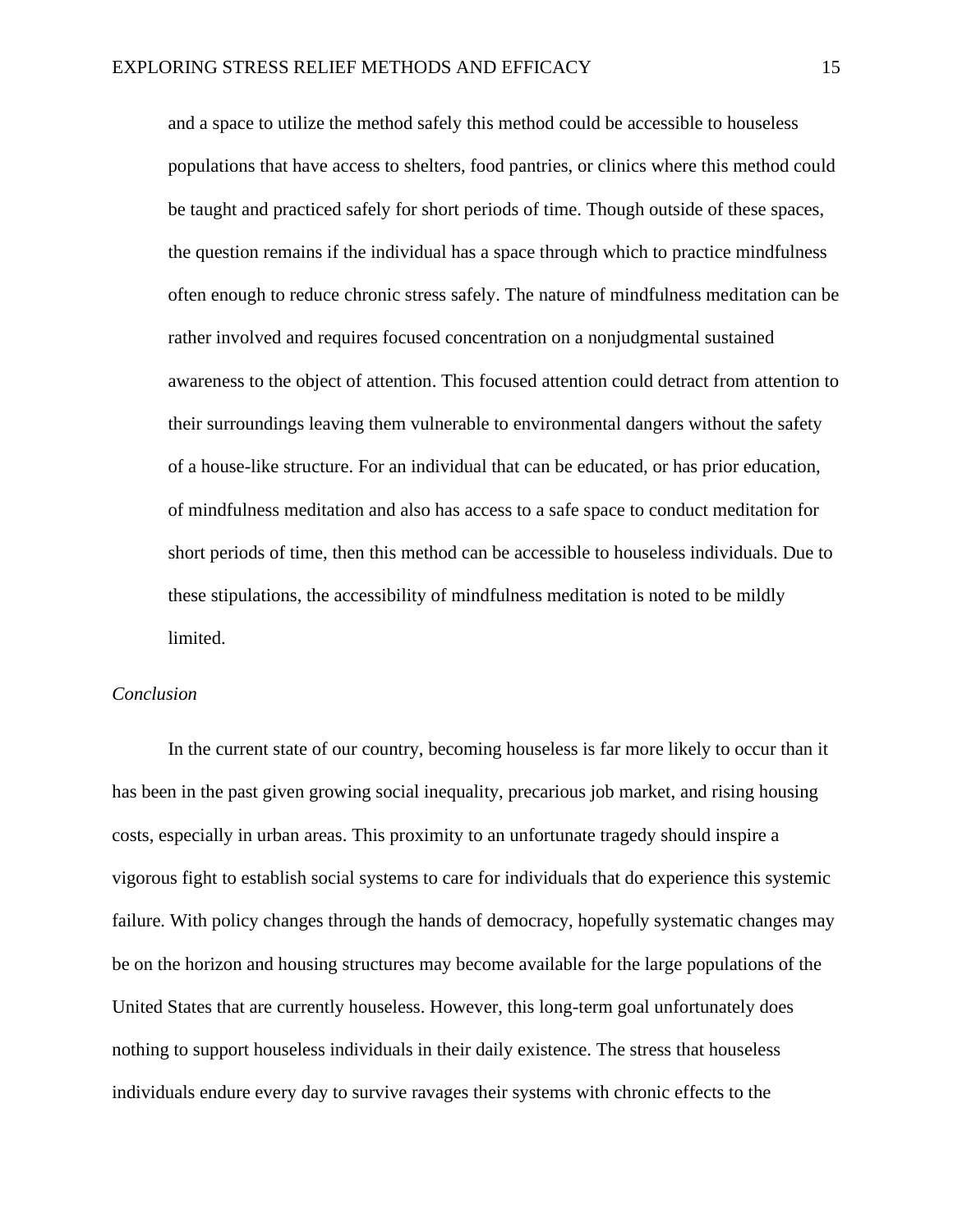and a space to utilize the method safely this method could be accessible to houseless populations that have access to shelters, food pantries, or clinics where this method could be taught and practiced safely for short periods of time. Though outside of these spaces, the question remains if the individual has a space through which to practice mindfulness often enough to reduce chronic stress safely. The nature of mindfulness meditation can be rather involved and requires focused concentration on a nonjudgmental sustained awareness to the object of attention. This focused attention could detract from attention to their surroundings leaving them vulnerable to environmental dangers without the safety of a house-like structure. For an individual that can be educated, or has prior education, of mindfulness meditation and also has access to a safe space to conduct meditation for short periods of time, then this method can be accessible to houseless individuals. Due to these stipulations, the accessibility of mindfulness meditation is noted to be mildly limited.

## *Conclusion*

In the current state of our country, becoming houseless is far more likely to occur than it has been in the past given growing social inequality, precarious job market, and rising housing costs, especially in urban areas. This proximity to an unfortunate tragedy should inspire a vigorous fight to establish social systems to care for individuals that do experience this systemic failure. With policy changes through the hands of democracy, hopefully systematic changes may be on the horizon and housing structures may become available for the large populations of the United States that are currently houseless. However, this long-term goal unfortunately does nothing to support houseless individuals in their daily existence. The stress that houseless individuals endure every day to survive ravages their systems with chronic effects to the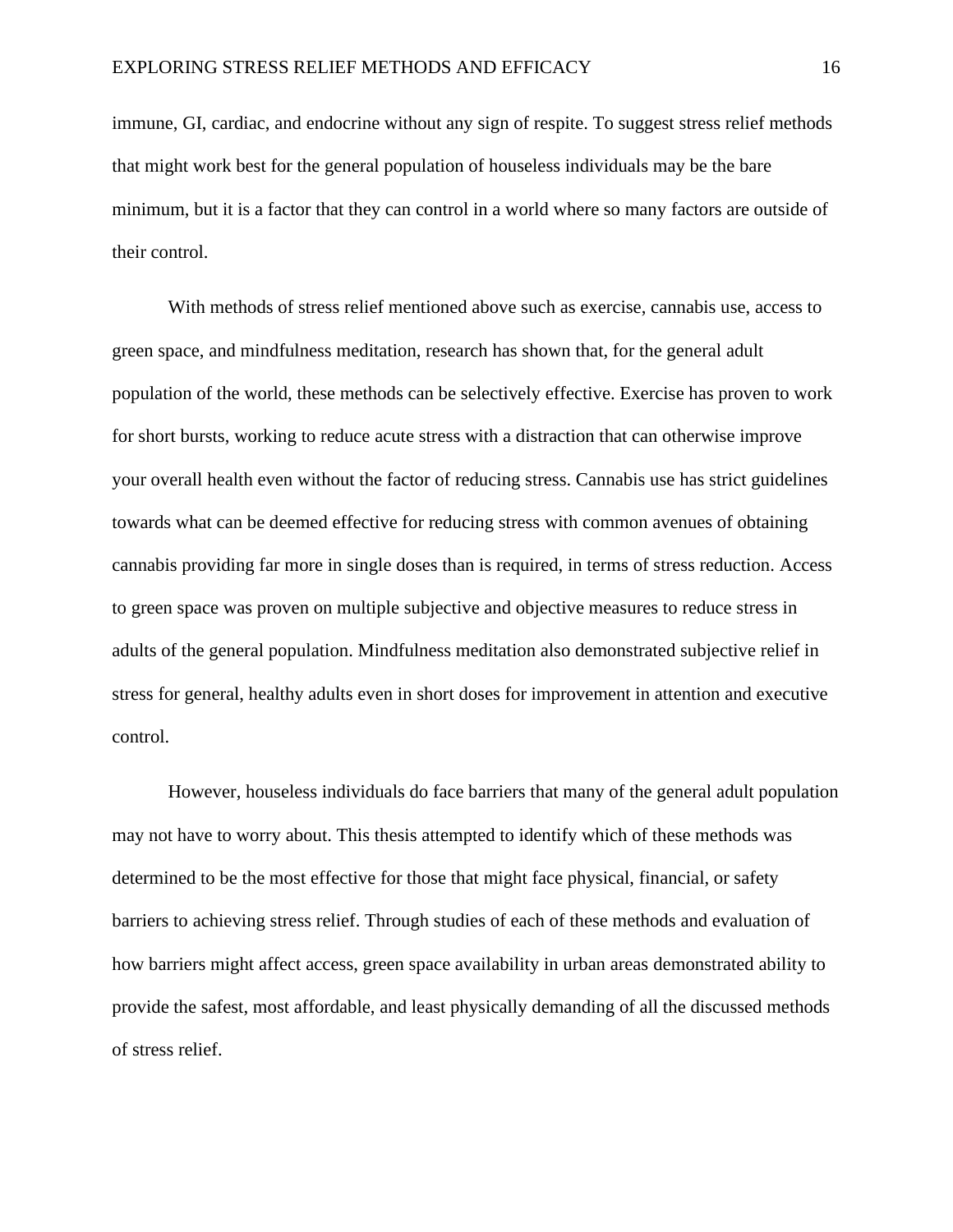immune, GI, cardiac, and endocrine without any sign of respite. To suggest stress relief methods that might work best for the general population of houseless individuals may be the bare minimum, but it is a factor that they can control in a world where so many factors are outside of their control.

With methods of stress relief mentioned above such as exercise, cannabis use, access to green space, and mindfulness meditation, research has shown that, for the general adult population of the world, these methods can be selectively effective. Exercise has proven to work for short bursts, working to reduce acute stress with a distraction that can otherwise improve your overall health even without the factor of reducing stress. Cannabis use has strict guidelines towards what can be deemed effective for reducing stress with common avenues of obtaining cannabis providing far more in single doses than is required, in terms of stress reduction. Access to green space was proven on multiple subjective and objective measures to reduce stress in adults of the general population. Mindfulness meditation also demonstrated subjective relief in stress for general, healthy adults even in short doses for improvement in attention and executive control.

However, houseless individuals do face barriers that many of the general adult population may not have to worry about. This thesis attempted to identify which of these methods was determined to be the most effective for those that might face physical, financial, or safety barriers to achieving stress relief. Through studies of each of these methods and evaluation of how barriers might affect access, green space availability in urban areas demonstrated ability to provide the safest, most affordable, and least physically demanding of all the discussed methods of stress relief.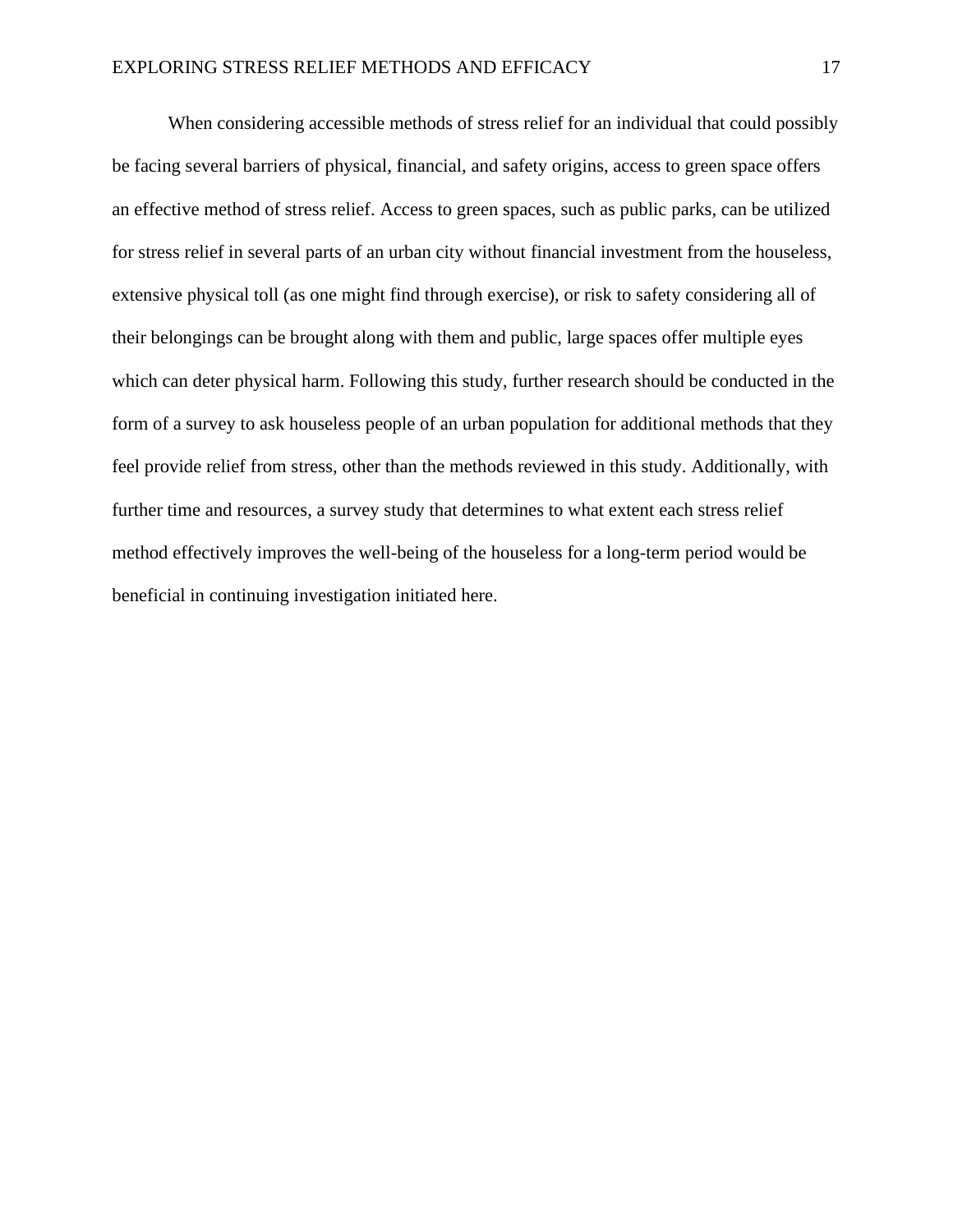When considering accessible methods of stress relief for an individual that could possibly be facing several barriers of physical, financial, and safety origins, access to green space offers an effective method of stress relief. Access to green spaces, such as public parks, can be utilized for stress relief in several parts of an urban city without financial investment from the houseless, extensive physical toll (as one might find through exercise), or risk to safety considering all of their belongings can be brought along with them and public, large spaces offer multiple eyes which can deter physical harm. Following this study, further research should be conducted in the form of a survey to ask houseless people of an urban population for additional methods that they feel provide relief from stress, other than the methods reviewed in this study. Additionally, with further time and resources, a survey study that determines to what extent each stress relief method effectively improves the well-being of the houseless for a long-term period would be beneficial in continuing investigation initiated here.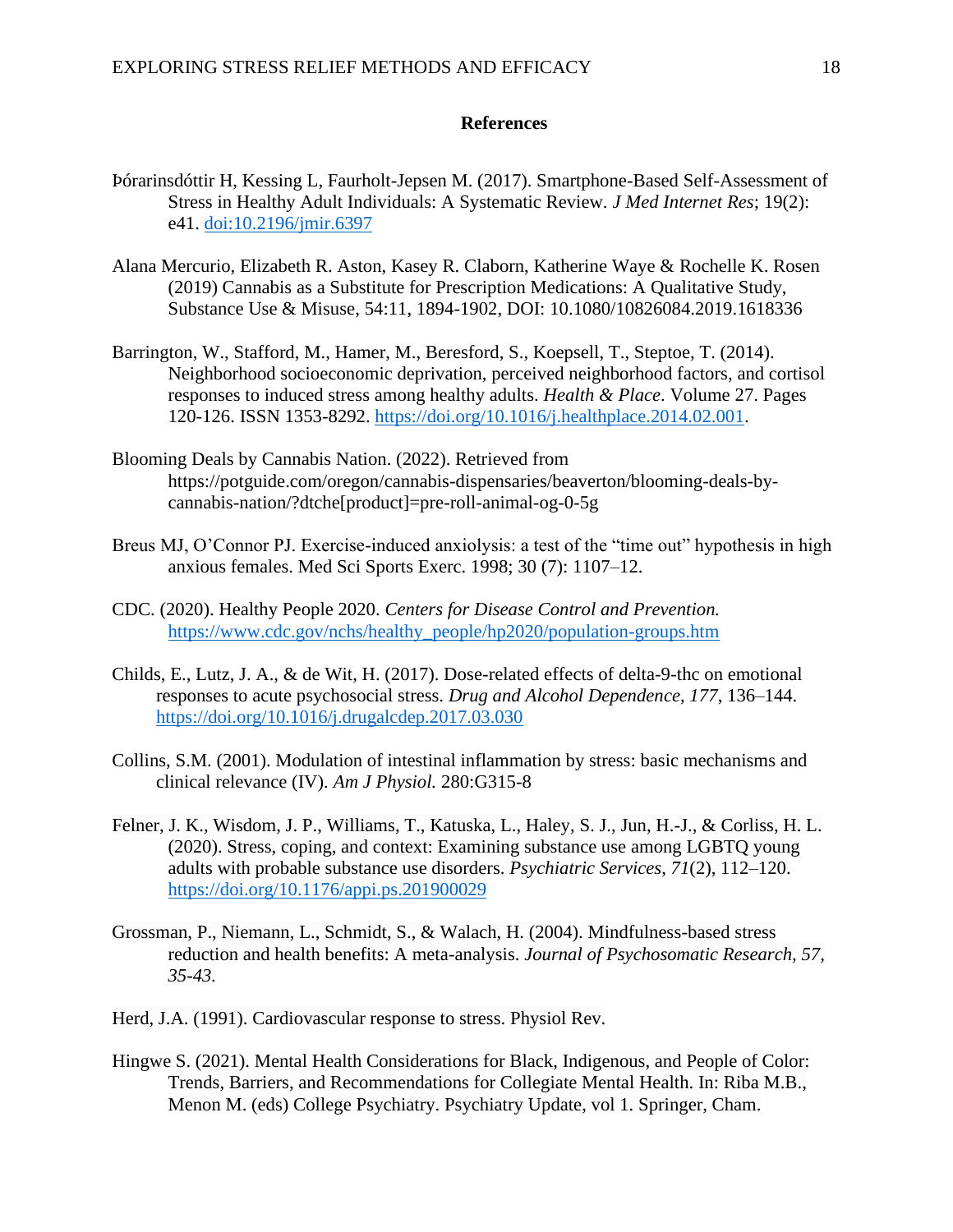## **References**

- Þórarinsdóttir H, Kessing L, Faurholt-Jepsen M. (2017). Smartphone-Based Self-Assessment of Stress in Healthy Adult Individuals: A Systematic Review. *J Med Internet Res*; 19(2): e41. [doi:10.2196/jmir.6397](https://doi.org/10.2196/jmir.6397)
- Alana Mercurio, Elizabeth R. Aston, Kasey R. Claborn, Katherine Waye & Rochelle K. Rosen (2019) Cannabis as a Substitute for Prescription Medications: A Qualitative Study, Substance Use & Misuse, 54:11, 1894-1902, DOI: 10.1080/10826084.2019.1618336
- Barrington, W., Stafford, M., Hamer, M., Beresford, S., Koepsell, T., Steptoe, T. (2014). Neighborhood socioeconomic deprivation, perceived neighborhood factors, and cortisol responses to induced stress among healthy adults. *Health & Place*. Volume 27. Pages 120-126. ISSN 1353-8292. [https://doi.org/10.1016/j.healthplace.2014.02.001.](https://doi.org/10.1016/j.healthplace.2014.02.001)
- Blooming Deals by Cannabis Nation. (2022). Retrieved from https://potguide.com/oregon/cannabis-dispensaries/beaverton/blooming-deals-bycannabis-nation/?dtche[product]=pre-roll-animal-og-0-5g
- Breus MJ, O'Connor PJ. Exercise-induced anxiolysis: a test of the "time out" hypothesis in high anxious females. Med Sci Sports Exerc. 1998; 30 (7): 1107–12.
- CDC. (2020). Healthy People 2020. *Centers for Disease Control and Prevention.* [https://www.cdc.gov/nchs/healthy\\_people/hp2020/population-groups.htm](https://www.cdc.gov/nchs/healthy_people/hp2020/population-groups.htm)
- Childs, E., Lutz, J. A., & de Wit, H. (2017). Dose-related effects of delta-9-thc on emotional responses to acute psychosocial stress. *Drug and Alcohol Dependence*, *177*, 136–144. <https://doi.org/10.1016/j.drugalcdep.2017.03.030>
- Collins, S.M. (2001). Modulation of intestinal inflammation by stress: basic mechanisms and clinical relevance (IV). *Am J Physiol.* 280:G315-8
- Felner, J. K., Wisdom, J. P., Williams, T., Katuska, L., Haley, S. J., Jun, H.-J., & Corliss, H. L. (2020). Stress, coping, and context: Examining substance use among LGBTQ young adults with probable substance use disorders. *Psychiatric Services*, *71*(2), 112–120. <https://doi.org/10.1176/appi.ps.201900029>
- Grossman, P., Niemann, L., Schmidt, S., & Walach, H. (2004). Mindfulness-based stress reduction and health benefits: A meta-analysis. *Journal of Psychosomatic Research, 57, 35-43.*
- Herd, J.A. (1991). Cardiovascular response to stress. Physiol Rev.
- Hingwe S. (2021). Mental Health Considerations for Black, Indigenous, and People of Color: Trends, Barriers, and Recommendations for Collegiate Mental Health. In: Riba M.B., Menon M. (eds) College Psychiatry. Psychiatry Update, vol 1. Springer, Cham.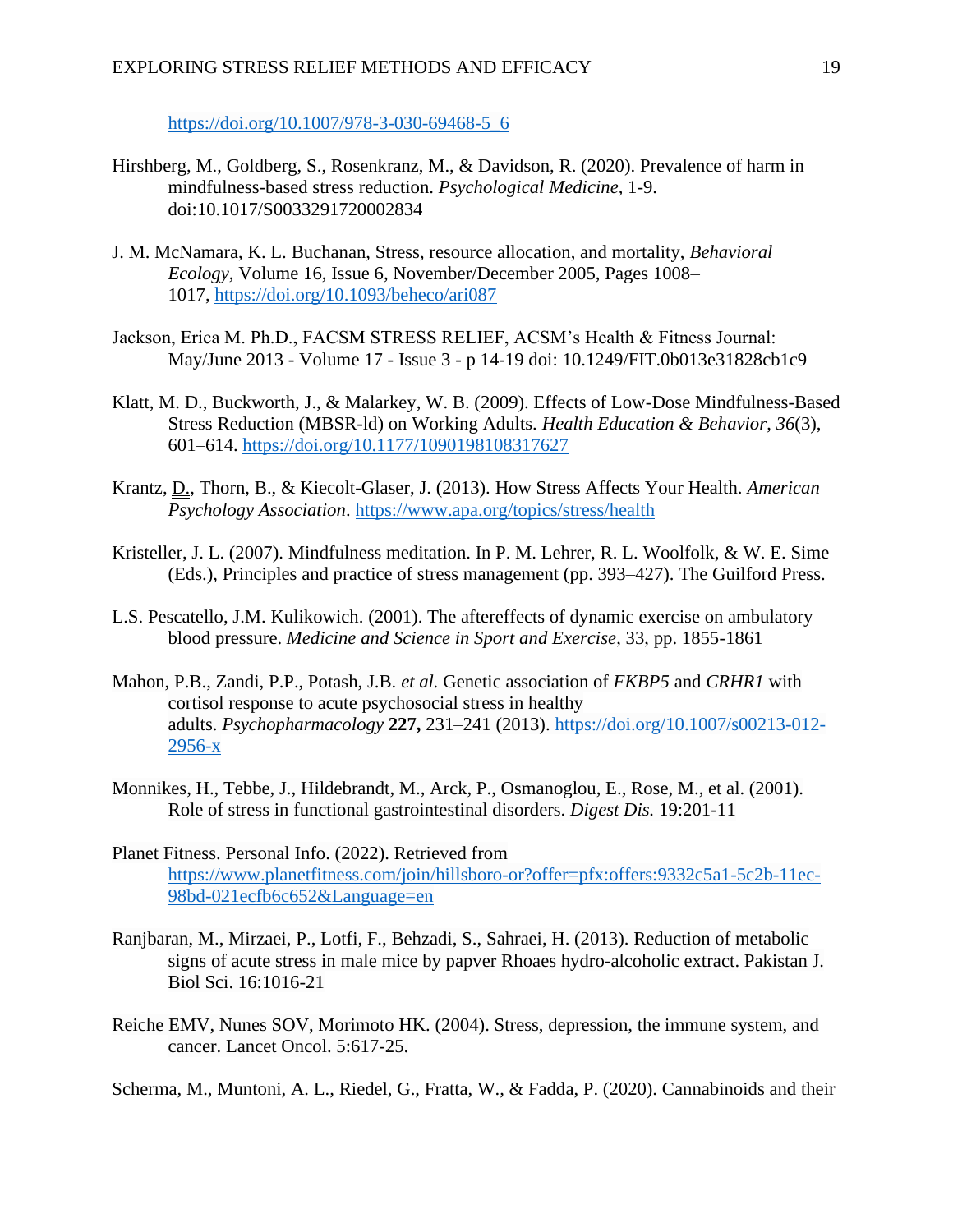[https://doi.org/10.1007/978-3-030-69468-5\\_6](https://doi.org/10.1007/978-3-030-69468-5_6)

- Hirshberg, M., Goldberg, S., Rosenkranz, M., & Davidson, R. (2020). Prevalence of harm in mindfulness-based stress reduction. *Psychological Medicine,* 1-9. doi:10.1017/S0033291720002834
- J. M. McNamara, K. L. Buchanan, Stress, resource allocation, and mortality, *Behavioral Ecology*, Volume 16, Issue 6, November/December 2005, Pages 1008– 1017, <https://doi.org/10.1093/beheco/ari087>
- Jackson, Erica M. Ph.D., FACSM STRESS RELIEF, ACSM's Health & Fitness Journal: May/June 2013 - Volume 17 - Issue 3 - p 14-19 doi: 10.1249/FIT.0b013e31828cb1c9
- Klatt, M. D., Buckworth, J., & Malarkey, W. B. (2009). Effects of Low-Dose Mindfulness-Based Stress Reduction (MBSR-ld) on Working Adults. *Health Education & Behavior*, *36*(3), 601–614. <https://doi.org/10.1177/1090198108317627>
- Krantz, D., Thorn, B., & Kiecolt-Glaser, J. (2013). How Stress Affects Your Health. *American Psychology Association*.<https://www.apa.org/topics/stress/health>
- Kristeller, J. L. (2007). Mindfulness meditation. In P. M. Lehrer, R. L. Woolfolk, & W. E. Sime (Eds.), Principles and practice of stress management (pp. 393–427). The Guilford Press.
- L.S. Pescatello, J.M. Kulikowich. (2001). The aftereffects of dynamic exercise on ambulatory blood pressure. *Medicine and Science in Sport and Exercise*, 33, pp. 1855-1861
- Mahon, P.B., Zandi, P.P., Potash, J.B. *et al.* Genetic association of *FKBP5* and *CRHR1* with cortisol response to acute psychosocial stress in healthy adults. *Psychopharmacology* **227,** 231–241 (2013). [https://doi.org/10.1007/s00213-012-](https://doi.org/10.1007/s00213-012-2956-x) [2956-x](https://doi.org/10.1007/s00213-012-2956-x)
- Monnikes, H., Tebbe, J., Hildebrandt, M., Arck, P., Osmanoglou, E., Rose, M., et al. (2001). Role of stress in functional gastrointestinal disorders. *Digest Dis.* 19:201-11
- Planet Fitness. Personal Info. (2022). Retrieved from [https://www.planetfitness.com/join/hillsboro-or?offer=pfx:offers:9332c5a1-5c2b-11ec-](https://www.planetfitness.com/join/hillsboro-or?offer=pfx:offers:9332c5a1-5c2b-11ec-98bd-021ecfb6c652&Language=en)[98bd-021ecfb6c652&Language=en](https://www.planetfitness.com/join/hillsboro-or?offer=pfx:offers:9332c5a1-5c2b-11ec-98bd-021ecfb6c652&Language=en)
- Ranjbaran, M., Mirzaei, P., Lotfi, F., Behzadi, S., Sahraei, H. (2013). Reduction of metabolic signs of acute stress in male mice by papver Rhoaes hydro-alcoholic extract. Pakistan J. Biol Sci. 16:1016-21
- Reiche EMV, Nunes SOV, Morimoto HK. (2004). Stress, depression, the immune system, and cancer. Lancet Oncol. 5:617-25.

Scherma, M., Muntoni, A. L., Riedel, G., Fratta, W., & Fadda, P. (2020). Cannabinoids and their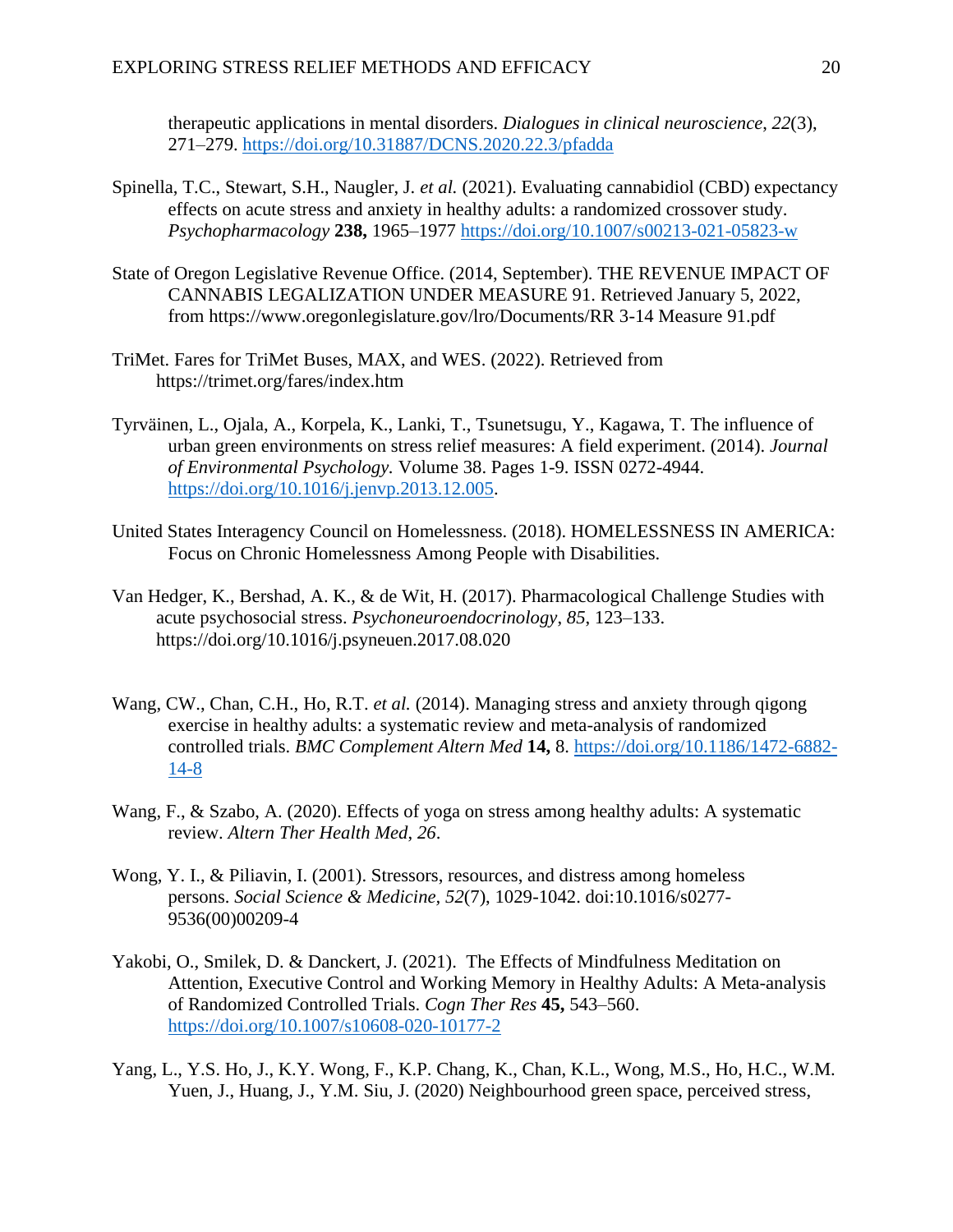therapeutic applications in mental disorders. *Dialogues in clinical neuroscience*, *22*(3), 271–279.<https://doi.org/10.31887/DCNS.2020.22.3/pfadda>

- Spinella, T.C., Stewart, S.H., Naugler, J. *et al.* (2021). Evaluating cannabidiol (CBD) expectancy effects on acute stress and anxiety in healthy adults: a randomized crossover study. *Psychopharmacology* **238,** 1965–1977<https://doi.org/10.1007/s00213-021-05823-w>
- State of Oregon Legislative Revenue Office. (2014, September). THE REVENUE IMPACT OF CANNABIS LEGALIZATION UNDER MEASURE 91. Retrieved January 5, 2022, from https://www.oregonlegislature.gov/lro/Documents/RR 3-14 Measure 91.pdf
- TriMet. Fares for TriMet Buses, MAX, and WES. (2022). Retrieved from https://trimet.org/fares/index.htm
- Tyrväinen, L., Ojala, A., Korpela, K., Lanki, T., Tsunetsugu, Y., Kagawa, T. The influence of urban green environments on stress relief measures: A field experiment. (2014). *Journal of Environmental Psychology.* Volume 38. Pages 1-9. ISSN 0272-4944. [https://doi.org/10.1016/j.jenvp.2013.12.005.](https://doi.org/10.1016/j.jenvp.2013.12.005)
- United States Interagency Council on Homelessness. (2018). HOMELESSNESS IN AMERICA: Focus on Chronic Homelessness Among People with Disabilities.
- Van Hedger, K., Bershad, A. K., & de Wit, H. (2017). Pharmacological Challenge Studies with acute psychosocial stress. *Psychoneuroendocrinology*, *85*, 123–133. https://doi.org/10.1016/j.psyneuen.2017.08.020
- Wang, CW., Chan, C.H., Ho, R.T. *et al.* (2014). Managing stress and anxiety through qigong exercise in healthy adults: a systematic review and meta-analysis of randomized controlled trials. *BMC Complement Altern Med* **14,** 8. [https://doi.org/10.1186/1472-6882-](https://doi.org/10.1186/1472-6882-14-8) [14-8](https://doi.org/10.1186/1472-6882-14-8)
- Wang, F., & Szabo, A. (2020). Effects of yoga on stress among healthy adults: A systematic review. *Altern Ther Health Med*, *26*.
- Wong, Y. I., & Piliavin, I. (2001). Stressors, resources, and distress among homeless persons. *Social Science & Medicine, 52*(7), 1029-1042. doi:10.1016/s0277- 9536(00)00209-4
- Yakobi, O., Smilek, D. & Danckert, J. (2021). The Effects of Mindfulness Meditation on Attention, Executive Control and Working Memory in Healthy Adults: A Meta-analysis of Randomized Controlled Trials. *Cogn Ther Res* **45,** 543–560. <https://doi.org/10.1007/s10608-020-10177-2>
- Yang, L., Y.S. Ho, J., K.Y. Wong, F., K.P. Chang, K., Chan, K.L., Wong, M.S., Ho, H.C., W.M. Yuen, J., Huang, J., Y.M. Siu, J. (2020) Neighbourhood green space, perceived stress,